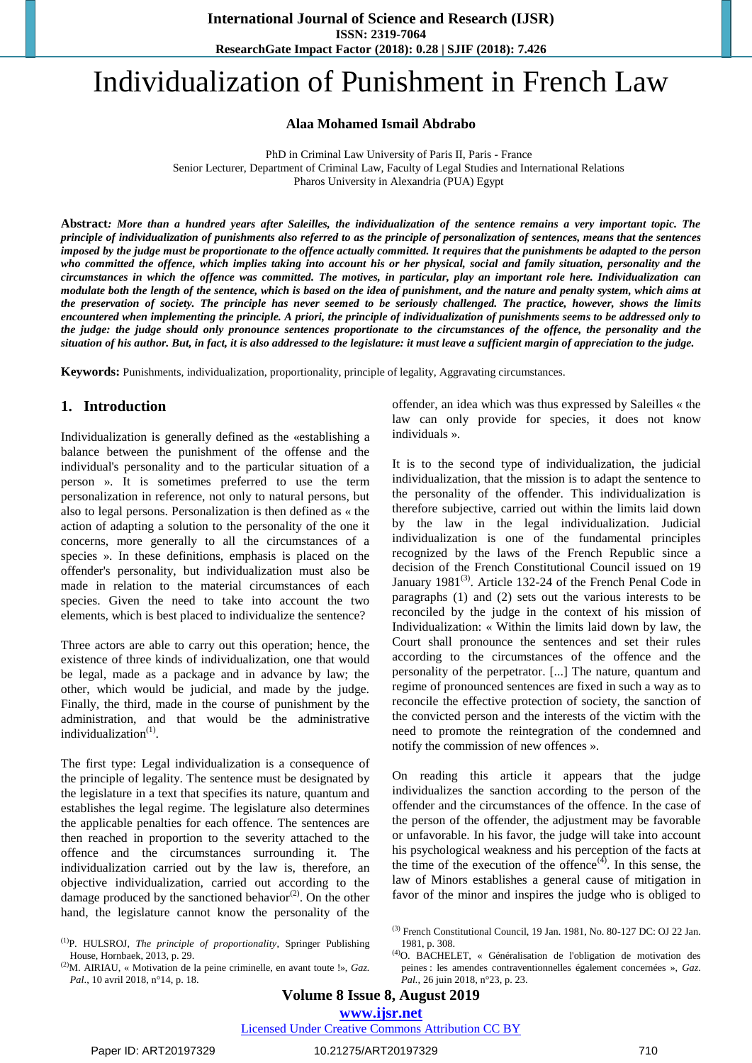# Individualization of Punishment in French Law

**Alaa Mohamed Ismail Abdrabo**

PhD in Criminal Law University of Paris II, Paris - France Senior Lecturer, Department of Criminal Law, Faculty of Legal Studies and International Relations Pharos University in Alexandria (PUA) Egypt

**Abstract***: More than a hundred years after Saleilles, the individualization of the sentence remains a very important topic. The principle of individualization of punishments also referred to as the principle of personalization of sentences, means that the sentences imposed by the judge must be proportionate to the offence actually committed. It requires that the punishments be adapted to the person who committed the offence, which implies taking into account his or her physical, social and family situation, personality and the circumstances in which the offence was committed. The motives, in particular, play an important role here. Individualization can modulate both the length of the sentence, which is based on the idea of punishment, and the nature and penalty system, which aims at the preservation of society. The principle has never seemed to be seriously challenged. The practice, however, shows the limits encountered when implementing the principle. A priori, the principle of individualization of punishments seems to be addressed only to the judge: the judge should only pronounce sentences proportionate to the circumstances of the offence, the personality and the situation of his author. But, in fact, it is also addressed to the legislature: it must leave a sufficient margin of appreciation to the judge.*

**Keywords:** Punishments, individualization, proportionality, principle of legality, Aggravating circumstances.

# **1. Introduction**

Individualization is generally defined as the «establishing a balance between the punishment of the offense and the individual's personality and to the particular situation of a person ». It is sometimes preferred to use the term personalization in reference, not only to natural persons, but also to legal persons. Personalization is then defined as « the action of adapting a solution to the personality of the one it concerns, more generally to all the circumstances of a species ». In these definitions, emphasis is placed on the offender's personality, but individualization must also be made in relation to the material circumstances of each species. Given the need to take into account the two elements, which is best placed to individualize the sentence?

Three actors are able to carry out this operation; hence, the existence of three kinds of individualization, one that would be legal, made as a package and in advance by law; the other, which would be judicial, and made by the judge. Finally, the third, made in the course of punishment by the administration, and that would be the administrative individualization<sup>(1)</sup>.

The first type: Legal individualization is a consequence of the principle of legality. The sentence must be designated by the legislature in a text that specifies its nature, quantum and establishes the legal regime. The legislature also determines the applicable penalties for each offence. The sentences are then reached in proportion to the severity attached to the offence and the circumstances surrounding it. The individualization carried out by the law is, therefore, an objective individualization, carried out according to the damage produced by the sanctioned behavior<sup>(2)</sup>. On the other hand, the legislature cannot know the personality of the

offender, an idea which was thus expressed by Saleilles « the law can only provide for species, it does not know individuals ».

It is to the second type of individualization, the judicial individualization, that the mission is to adapt the sentence to the personality of the offender. This individualization is therefore subjective, carried out within the limits laid down by the law in the legal individualization. Judicial individualization is one of the fundamental principles recognized by the laws of the French Republic since a decision of the French Constitutional Council issued on 19 January  $1981^{(3)}$ . Article 132-24 of the French Penal Code in paragraphs (1) and (2) sets out the various interests to be reconciled by the judge in the context of his mission of Individualization: « Within the limits laid down by law, the Court shall pronounce the sentences and set their rules according to the circumstances of the offence and the personality of the perpetrator. [...] The nature, quantum and regime of pronounced sentences are fixed in such a way as to reconcile the effective protection of society, the sanction of the convicted person and the interests of the victim with the need to promote the reintegration of the condemned and notify the commission of new offences ».

On reading this article it appears that the judge individualizes the sanction according to the person of the offender and the circumstances of the offence. In the case of the person of the offender, the adjustment may be favorable or unfavorable. In his favor, the judge will take into account his psychological weakness and his perception of the facts at the time of the execution of the offence $^{(4)}$ . In this sense, the law of Minors establishes a general cause of mitigation in favor of the minor and inspires the judge who is obliged to

# **Volume 8 Issue 8, August 2019**

**www.ijsr.net**

<sup>(1)</sup> P. HULSROJ, *The principle of proportionality*, Springer Publishing House, Hornbaek, 2013, p. 29.

<sup>&</sup>lt;sup>(2)</sup>M. AIRIAU, « Motivation de la peine criminelle, en avant toute !»,  $Gaz$ . *Pal*., 10 avril 2018, n°14, p. 18.

<sup>(3)</sup> French Constitutional Council, 19 Jan. 1981, No. 80-127 DC: OJ 22 Jan. 1981, p. 308.

<sup>(4)</sup>O. BACHELET, « Généralisation de l'obligation de motivation des peines : les amendes contraventionnelles également concernées », *Gaz. Pal.,* 26 juin 2018, n°23, p. 23.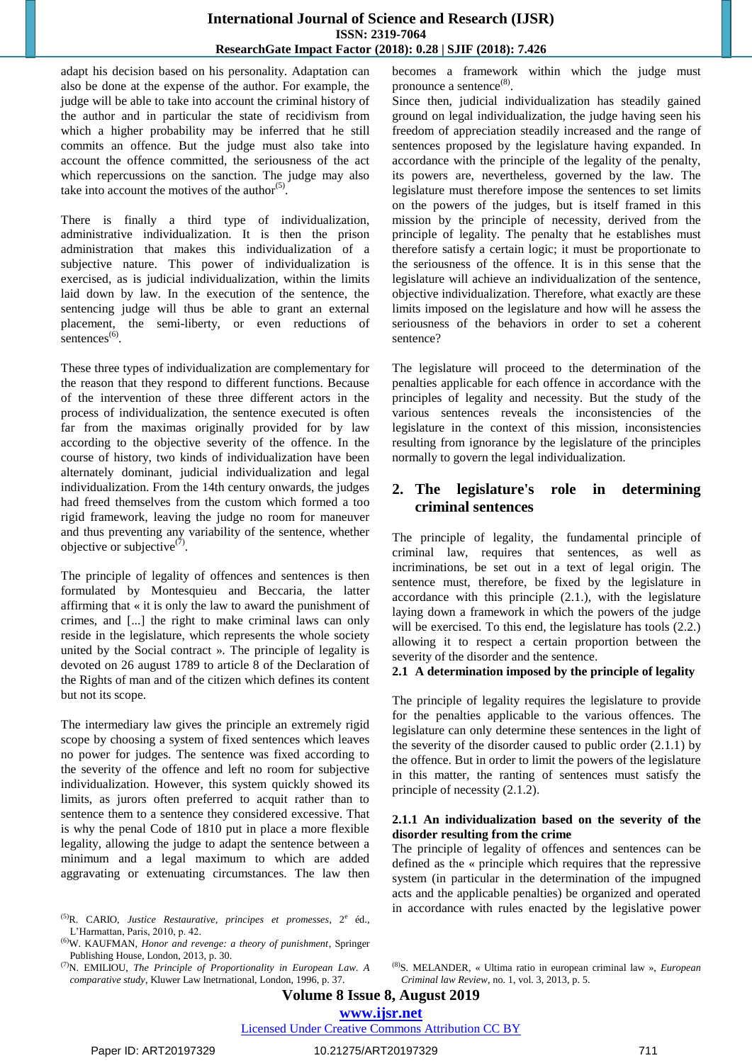adapt his decision based on his personality. Adaptation can also be done at the expense of the author. For example, the judge will be able to take into account the criminal history of the author and in particular the state of recidivism from which a higher probability may be inferred that he still commits an offence. But the judge must also take into account the offence committed, the seriousness of the act which repercussions on the sanction. The judge may also take into account the motives of the author $(5)$ .

There is finally a third type of individualization, administrative individualization. It is then the prison administration that makes this individualization of a subjective nature. This power of individualization is exercised, as is judicial individualization, within the limits laid down by law. In the execution of the sentence, the sentencing judge will thus be able to grant an external placement, the semi-liberty, or even reductions of  $s$ entences<sup>(6)</sup>.

These three types of individualization are complementary for the reason that they respond to different functions. Because of the intervention of these three different actors in the process of individualization, the sentence executed is often far from the maximas originally provided for by law according to the objective severity of the offence. In the course of history, two kinds of individualization have been alternately dominant, judicial individualization and legal individualization. From the 14th century onwards, the judges had freed themselves from the custom which formed a too rigid framework, leaving the judge no room for maneuver and thus preventing any variability of the sentence, whether objective or subjective $(7)$ .

The principle of legality of offences and sentences is then formulated by Montesquieu and Beccaria, the latter affirming that « it is only the law to award the punishment of crimes, and [...] the right to make criminal laws can only reside in the legislature, which represents the whole society united by the Social contract ». The principle of legality is devoted on 26 august 1789 to article 8 of the Declaration of the Rights of man and of the citizen which defines its content but not its scope.

The intermediary law gives the principle an extremely rigid scope by choosing a system of fixed sentences which leaves no power for judges. The sentence was fixed according to the severity of the offence and left no room for subjective individualization. However, this system quickly showed its limits, as jurors often preferred to acquit rather than to sentence them to a sentence they considered excessive. That is why the penal Code of 1810 put in place a more flexible legality, allowing the judge to adapt the sentence between a minimum and a legal maximum to which are added aggravating or extenuating circumstances. The law then

(6)W. KAUFMAN, *Honor and revenge: a theory of punishment*, Springer Publishing House, London, 2013, p. 30.

becomes a framework within which the judge must pronounce a sentence<sup>(8)</sup>.

Since then, judicial individualization has steadily gained ground on legal individualization, the judge having seen his freedom of appreciation steadily increased and the range of sentences proposed by the legislature having expanded. In accordance with the principle of the legality of the penalty, its powers are, nevertheless, governed by the law. The legislature must therefore impose the sentences to set limits on the powers of the judges, but is itself framed in this mission by the principle of necessity, derived from the principle of legality. The penalty that he establishes must therefore satisfy a certain logic; it must be proportionate to the seriousness of the offence. It is in this sense that the legislature will achieve an individualization of the sentence, objective individualization. Therefore, what exactly are these limits imposed on the legislature and how will he assess the seriousness of the behaviors in order to set a coherent sentence?

The legislature will proceed to the determination of the penalties applicable for each offence in accordance with the principles of legality and necessity. But the study of the various sentences reveals the inconsistencies of the legislature in the context of this mission, inconsistencies resulting from ignorance by the legislature of the principles normally to govern the legal individualization.

# **2. The legislature's role in determining criminal sentences**

The principle of legality, the fundamental principle of criminal law, requires that sentences, as well as incriminations, be set out in a text of legal origin. The sentence must, therefore, be fixed by the legislature in accordance with this principle (2.1.), with the legislature laying down a framework in which the powers of the judge will be exercised. To this end, the legislature has tools (2.2.) allowing it to respect a certain proportion between the severity of the disorder and the sentence.

#### **2.1 A determination imposed by the principle of legality**

The principle of legality requires the legislature to provide for the penalties applicable to the various offences. The legislature can only determine these sentences in the light of the severity of the disorder caused to public order  $(2.1.1)$  by the offence. But in order to limit the powers of the legislature in this matter, the ranting of sentences must satisfy the principle of necessity (2.1.2).

#### **2.1.1 An individualization based on the severity of the disorder resulting from the crime**

The principle of legality of offences and sentences can be defined as the « principle which requires that the repressive system (in particular in the determination of the impugned acts and the applicable penalties) be organized and operated in accordance with rules enacted by the legislative power

**Volume 8 Issue 8, August 2019**

<sup>&</sup>lt;sup>(5)</sup>R. CARIO, *Justice Restaurative*, *principes et promesses*,  $2^e$  éd., L'Harmattan, Paris, 2010, p. 42.

<sup>(7)</sup>N. EMILIOU, *The Principle of Proportionality in European Law. A comparative study*, Kluwer Law Inetrnational, London, 1996, p. 37.

<sup>(8)</sup> S. MELANDER, « Ultima ratio in european criminal law », *European Criminal law Review*, no. 1, vol. 3, 2013, p. 5.

**www.ijsr.net**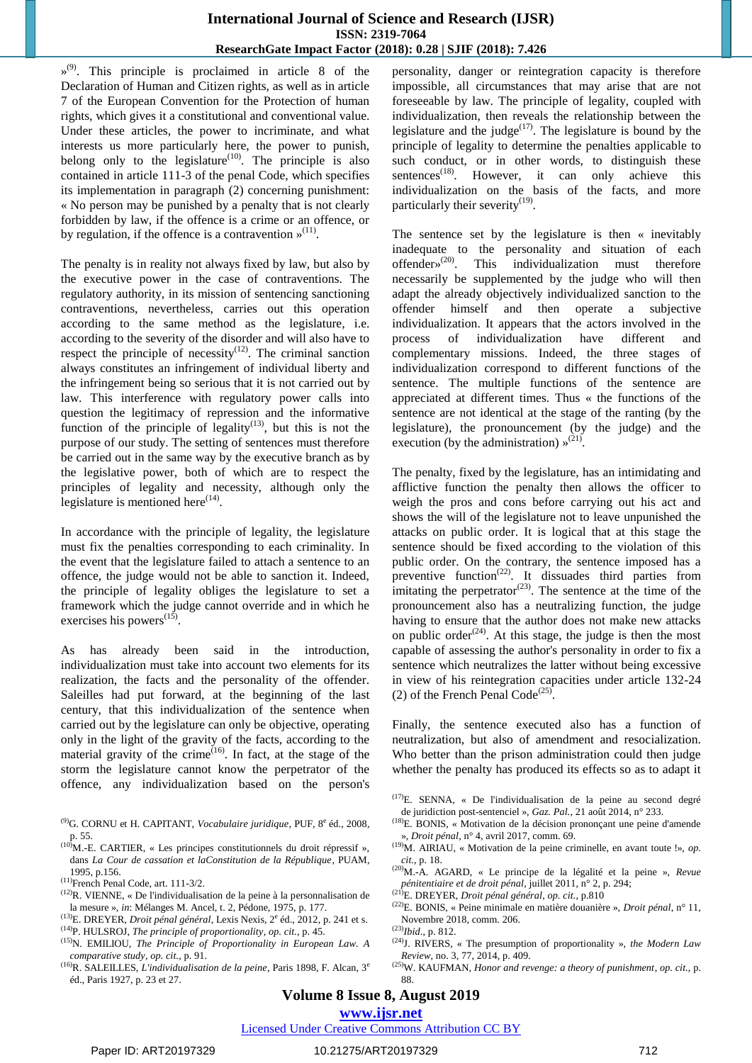<sup>(9)</sup>. This principle is proclaimed in article 8 of the Declaration of Human and Citizen rights, as well as in article 7 of the European Convention for the Protection of human rights, which gives it a constitutional and conventional value. Under these articles, the power to incriminate, and what interests us more particularly here, the power to punish, belong only to the legislature<sup> $(10)$ </sup>. The principle is also contained in article 111-3 of the penal Code, which specifies its implementation in paragraph (2) concerning punishment: « No person may be punished by a penalty that is not clearly forbidden by law, if the offence is a crime or an offence, or by regulation, if the offence is a contravention  $\mathcal{P}^{(11)}$ .

The penalty is in reality not always fixed by law, but also by the executive power in the case of contraventions. The regulatory authority, in its mission of sentencing sanctioning contraventions, nevertheless, carries out this operation according to the same method as the legislature, i.e. according to the severity of the disorder and will also have to respect the principle of necessity<sup> $(12)$ </sup>. The criminal sanction always constitutes an infringement of individual liberty and the infringement being so serious that it is not carried out by law. This interference with regulatory power calls into question the legitimacy of repression and the informative function of the principle of legality $(13)$ , but this is not the purpose of our study. The setting of sentences must therefore be carried out in the same way by the executive branch as by the legislative power, both of which are to respect the principles of legality and necessity, although only the legislature is mentioned here $^{(14)}$ .

In accordance with the principle of legality, the legislature must fix the penalties corresponding to each criminality. In the event that the legislature failed to attach a sentence to an offence, the judge would not be able to sanction it. Indeed, the principle of legality obliges the legislature to set a framework which the judge cannot override and in which he exercises his powers $^{(15)}$ .

As has already been said in the introduction, individualization must take into account two elements for its realization, the facts and the personality of the offender. Saleilles had put forward, at the beginning of the last century, that this individualization of the sentence when carried out by the legislature can only be objective, operating only in the light of the gravity of the facts, according to the material gravity of the crime<sup> $(16)$ </sup>. In fact, at the stage of the storm the legislature cannot know the perpetrator of the offence, any individualization based on the person's

personality, danger or reintegration capacity is therefore impossible, all circumstances that may arise that are not foreseeable by law. The principle of legality, coupled with individualization, then reveals the relationship between the legislature and the judge $^{(17)}$ . The legislature is bound by the principle of legality to determine the penalties applicable to such conduct, or in other words, to distinguish these sentences<sup> $(18)$ </sup>. However, it can only achieve this individualization on the basis of the facts, and more particularly their severity<sup>(19)</sup>.

The sentence set by the legislature is then « inevitably inadequate to the personality and situation of each offender»<sup>(20)</sup>. . This individualization must therefore necessarily be supplemented by the judge who will then adapt the already objectively individualized sanction to the offender himself and then operate a subjective individualization. It appears that the actors involved in the process of individualization have different and complementary missions. Indeed, the three stages of individualization correspond to different functions of the sentence. The multiple functions of the sentence are appreciated at different times. Thus « the functions of the sentence are not identical at the stage of the ranting (by the legislature), the pronouncement (by the judge) and the execution (by the administration)  $\mathcal{P}^{(21)}$ .

The penalty, fixed by the legislature, has an intimidating and afflictive function the penalty then allows the officer to weigh the pros and cons before carrying out his act and shows the will of the legislature not to leave unpunished the attacks on public order. It is logical that at this stage the sentence should be fixed according to the violation of this public order. On the contrary, the sentence imposed has a preventive function<sup> $(22)$ </sup>. It dissuades third parties from imitating the perpetrator<sup> $(23)$ </sup>. The sentence at the time of the pronouncement also has a neutralizing function, the judge having to ensure that the author does not make new attacks on public order<sup> $(24)$ </sup>. At this stage, the judge is then the most capable of assessing the author's personality in order to fix a sentence which neutralizes the latter without being excessive in view of his reintegration capacities under article 132-24 (2) of the French Penal Code<sup>(25)</sup>.

Finally, the sentence executed also has a function of neutralization, but also of amendment and resocialization. Who better than the prison administration could then judge whether the penalty has produced its effects so as to adapt it

- (18)E. BONIS, « Motivation de la décision prononçant une peine d'amende », *Droit pénal*, n° 4, avril 2017, comm. 69.
- (19)M. AIRIAU, « Motivation de la peine criminelle, en avant toute !», *op. cit.*, p. 18.
- (20)M.-A. AGARD, « Le principe de la légalité et la peine », *Revue pénitentiaire et de droit pénal*, juillet 2011, n° 2, p. 294;
- (21)E. DREYER, *Droit pénal général*, *op. cit.*, p.810
- (22)E. BONIS, « Peine minimale en matière douanière », *Droit pénal*, n° 11, Novembre 2018, comm. 206.
- (23) *Ibid*., p. 812.
- (24) J. RIVERS, « The presumption of proportionality », *the Modern Law Review*, no. 3, 77, 2014, p. 409.
- (25)W. KAUFMAN, *Honor and revenge: a theory of punishment*, *op. cit.,* p. 88.

# **Volume 8 Issue 8, August 2019**

### **www.ijsr.net**

<sup>&</sup>lt;sup>(9)</sup>G. CORNU et H. CAPITANT, *Vocabulaire juridique*, PUF, 8<sup>e</sup> éd., 2008, p. 55.

 $<sup>(10)</sup>M$ .-E. CARTIER, « Les principes constitutionnels du droit répressif »,</sup> dans *La Cour de cassation et laConstitution de la République*, PUAM, 1995, p.156.

 $(11)$ French Penal Code, art. 111-3/2.

 $(12)$ R. VIENNE, « De l'individualisation de la peine à la personnalisation de la mesure », *in*: Mélanges M. Ancel, t. 2, Pédone, 1975, p. 177.

<sup>&</sup>lt;sup>(13)</sup>E. DREYER, *Droit pénal général*, Lexis Nexis,  $2^e$  éd., 2012, p. 241 et s. (14) P. HULSROJ, *The principle of proportionality*, *op. cit.*, p. 45.

<sup>(15)</sup>N. EMILIOU, *The Principle of Proportionality in European Law. A comparative study*, *op. cit.*, p. 91.

<sup>(16)</sup>R. SALEILLES, *L'individualisation de la peine*, Paris 1898, F. Alcan, 3<sup>e</sup> éd., Paris 1927, p. 23 et 27.

<sup>(17)</sup>E. SENNA, « De l'individualisation de la peine au second degré de juridiction post-sentenciel », *Gaz. Pal.*, 21 août 2014, n° 233.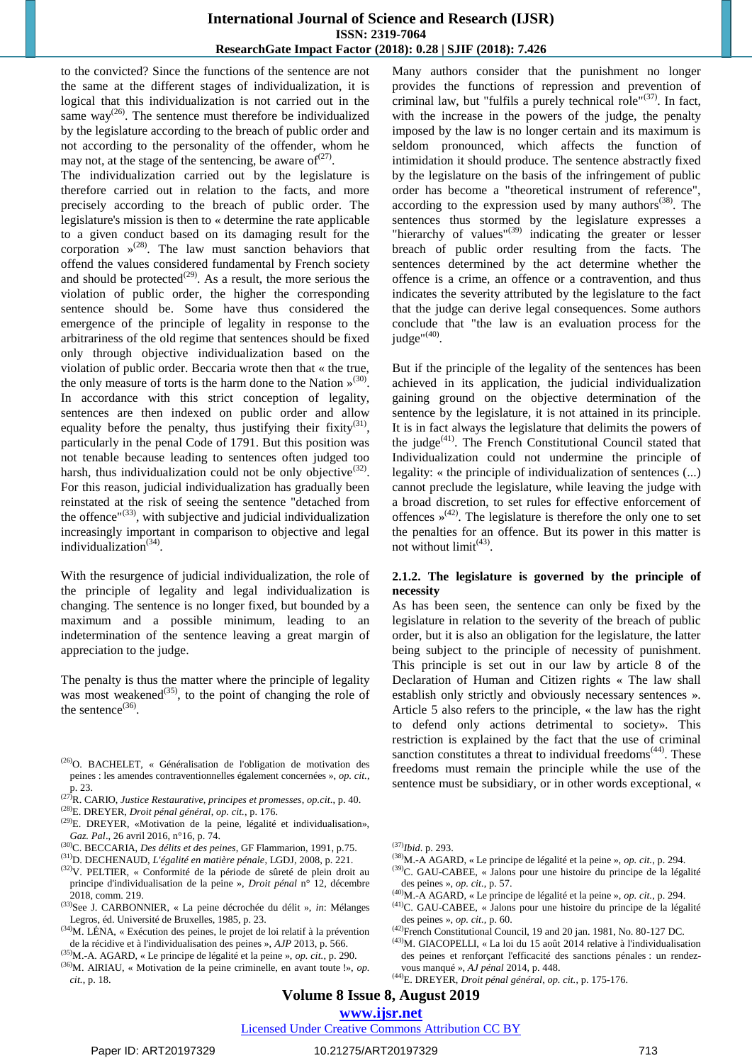to the convicted? Since the functions of the sentence are not the same at the different stages of individualization, it is logical that this individualization is not carried out in the same way<sup>(26)</sup>. The sentence must therefore be individualized by the legislature according to the breach of public order and not according to the personality of the offender, whom he may not, at the stage of the sentencing, be aware of $^{(27)}$ .

The individualization carried out by the legislature is therefore carried out in relation to the facts, and more precisely according to the breach of public order. The legislature's mission is then to « determine the rate applicable to a given conduct based on its damaging result for the corporation  $\mathcal{P}^{(28)}$ . The law must sanction behaviors that offend the values considered fundamental by French society and should be protected<sup> $(29)$ </sup>. As a result, the more serious the violation of public order, the higher the corresponding sentence should be. Some have thus considered the emergence of the principle of legality in response to the arbitrariness of the old regime that sentences should be fixed only through objective individualization based on the violation of public order. Beccaria wrote then that « the true, the only measure of torts is the harm done to the Nation  $\mathcal{P}^{(30)}$ . In accordance with this strict conception of legality, sentences are then indexed on public order and allow equality before the penalty, thus justifying their fixity<sup>(31)</sup>, particularly in the penal Code of 1791. But this position was not tenable because leading to sentences often judged too harsh, thus individualization could not be only objective  $(32)$ . For this reason, judicial individualization has gradually been reinstated at the risk of seeing the sentence "detached from the offence" $(33)$ , with subjective and judicial individualization increasingly important in comparison to objective and legal individualization<sup>(34)</sup>.

With the resurgence of judicial individualization, the role of the principle of legality and legal individualization is changing. The sentence is no longer fixed, but bounded by a maximum and a possible minimum, leading to an indetermination of the sentence leaving a great margin of appreciation to the judge.

The penalty is thus the matter where the principle of legality was most weakened $(35)$ , to the point of changing the role of the sentence $^{(36)}$ .

- (26)O. BACHELET, « Généralisation de l'obligation de motivation des peines : les amendes contraventionnelles également concernées », *op. cit.*, p. 23.
- (27)R. CARIO, *Justice Restaurative, principes et promesses*, *op.cit*., p. 40.
- (28)E. DREYER, *Droit pénal général*, *op. cit.*, p. 176.
- (29)E. DREYER, «Motivation de la peine, légalité et individualisation», *Gaz. Pal*., 26 avril 2016, n°16, p. 74.
- (30)C. BECCARIA, *Des délits et des peines*, GF Flammarion, 1991, p.75.
- (31)D. DECHENAUD, *L'égalité en matière pénale*, LGDJ, 2008, p. 221.
- (32)V. PELTIER, « Conformité de la période de sûreté de plein droit au principe d'individualisation de la peine », *Droit pénal* n° 12, décembre 2018, comm. 219.
- (33) See J. CARBONNIER, « La peine décrochée du délit », *in*: Mélanges Legros, éd. Université de Bruxelles, 1985, p. 23.
- (34)M. LÉNA, « Exécution des peines, le projet de loi relatif à la prévention de la récidive et à l'individualisation des peines », *AJP* 2013, p. 566.
- (35)M.-A. AGARD, « Le principe de légalité et la peine », *op. cit.*, p. 290.
- (36)M. AIRIAU, « Motivation de la peine criminelle, en avant toute !», *op. cit.*, p. 18.

Many authors consider that the punishment no longer provides the functions of repression and prevention of criminal law, but "fulfils a purely technical role" $(37)$ . In fact, with the increase in the powers of the judge, the penalty imposed by the law is no longer certain and its maximum is seldom pronounced, which affects the function of intimidation it should produce. The sentence abstractly fixed by the legislature on the basis of the infringement of public order has become a "theoretical instrument of reference", according to the expression used by many authors<sup> $(38)$ </sup>. The sentences thus stormed by the legislature expresses a "hierarchy of values" $^{(39)}$  indicating the greater or lesser breach of public order resulting from the facts. The sentences determined by the act determine whether the offence is a crime, an offence or a contravention, and thus indicates the severity attributed by the legislature to the fact that the judge can derive legal consequences. Some authors conclude that "the law is an evaluation process for the judge"<sup>(40)</sup>.

But if the principle of the legality of the sentences has been achieved in its application, the judicial individualization gaining ground on the objective determination of the sentence by the legislature, it is not attained in its principle. It is in fact always the legislature that delimits the powers of the judge<sup>(41)</sup>. The French Constitutional Council stated that Individualization could not undermine the principle of legality: « the principle of individualization of sentences (...) cannot preclude the legislature, while leaving the judge with a broad discretion, to set rules for effective enforcement of offences  $\mathcal{P}^{(42)}$ . The legislature is therefore the only one to set the penalties for an offence. But its power in this matter is not without  $\text{limit}^{(43)}$ .

#### **2.1.2. The legislature is governed by the principle of necessity**

As has been seen, the sentence can only be fixed by the legislature in relation to the severity of the breach of public order, but it is also an obligation for the legislature, the latter being subject to the principle of necessity of punishment. This principle is set out in our law by article 8 of the Declaration of Human and Citizen rights « The law shall establish only strictly and obviously necessary sentences ». Article 5 also refers to the principle, « the law has the right to defend only actions detrimental to society». This restriction is explained by the fact that the use of criminal sanction constitutes a threat to individual freedoms<sup>(44)</sup>. These freedoms must remain the principle while the use of the sentence must be subsidiary, or in other words exceptional, «

- (38)M.-A AGARD, « Le principe de légalité et la peine », *op. cit.*, p. 294.
- (39)C. GAU-CABEE, « Jalons pour une histoire du principe de la légalité des peines », *op. cit.*, p. 57.
- (40)M.-A AGARD, « Le principe de légalité et la peine », *op. cit.*, p. 294.
- (41)C. GAU-CABEE, « Jalons pour une histoire du principe de la légalité des peines », *op. cit.,* p. 60.
- (42) French Constitutional Council, 19 and 20 jan. 1981, No. 80-127 DC.
- $^{(43)}$ M. GIACOPELLI, « La loi du 15 août 2014 relative à l'individualisation des peines et renforçant l'efficacité des sanctions pénales : un rendezvous manqué », *AJ pénal* 2014, p. 448.
- (44)E. DREYER, *Droit pénal général*, *op. cit.*, p. 175-176.

# **Volume 8 Issue 8, August 2019**

### **www.ijsr.net**

<sup>(37)</sup> *Ibid*. p. 293.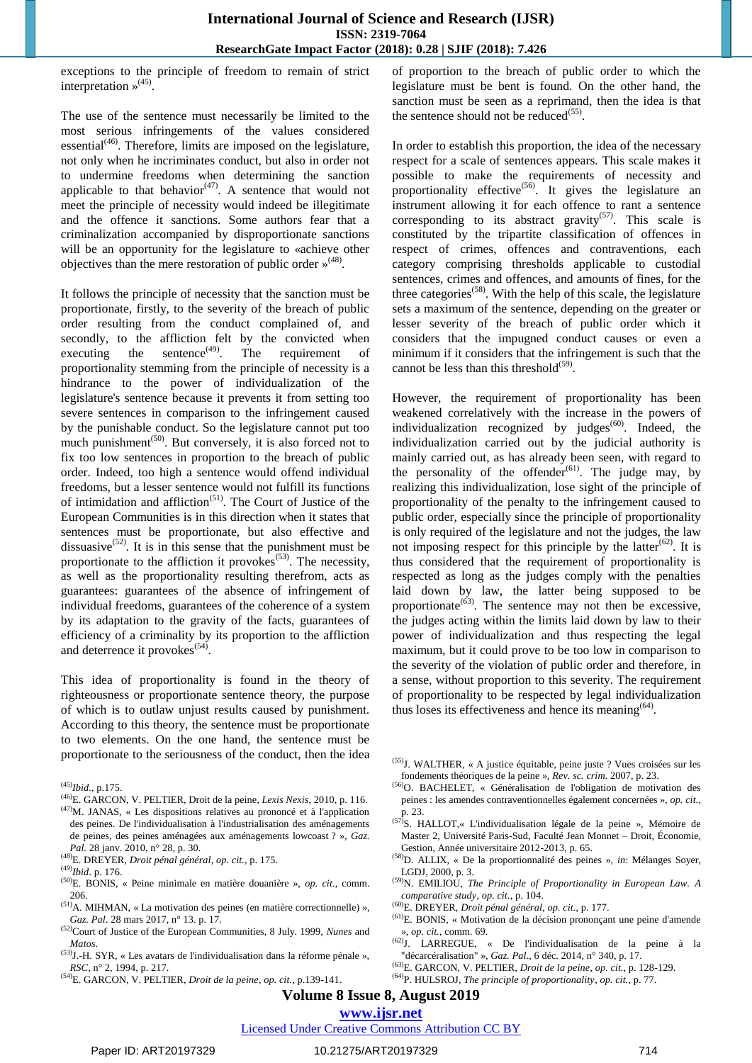exceptions to the principle of freedom to remain of strict interpretation  $\mathbf{v}^{(45)}$ .

The use of the sentence must necessarily be limited to the most serious infringements of the values considered essential<sup>(46)</sup>. Therefore, limits are imposed on the legislature, not only when he incriminates conduct, but also in order not to undermine freedoms when determining the sanction applicable to that behavior<sup> $(47)$ </sup>. A sentence that would not meet the principle of necessity would indeed be illegitimate and the offence it sanctions. Some authors fear that a criminalization accompanied by disproportionate sanctions will be an opportunity for the legislature to «achieve other objectives than the mere restoration of public order  $\mathcal{P}^{(48)}$ .

It follows the principle of necessity that the sanction must be proportionate, firstly, to the severity of the breach of public order resulting from the conduct complained of, and secondly, to the affliction felt by the convicted when executing the sentence<sup> $(49)$ </sup>. The requirement of proportionality stemming from the principle of necessity is a hindrance to the power of individualization of the legislature's sentence because it prevents it from setting too severe sentences in comparison to the infringement caused by the punishable conduct. So the legislature cannot put too much punishment<sup>(50)</sup>. But conversely, it is also forced not to fix too low sentences in proportion to the breach of public order. Indeed, too high a sentence would offend individual freedoms, but a lesser sentence would not fulfill its functions of intimidation and affliction<sup>(51)</sup>. The Court of Justice of the European Communities is in this direction when it states that sentences must be proportionate, but also effective and dissuasive<sup>(52)</sup>. It is in this sense that the punishment must be proportionate to the affliction it provokes $(53)$ . The necessity, as well as the proportionality resulting therefrom, acts as guarantees: guarantees of the absence of infringement of individual freedoms, guarantees of the coherence of a system by its adaptation to the gravity of the facts, guarantees of efficiency of a criminality by its proportion to the affliction and deterrence it provokes $(54)$ .

This idea of proportionality is found in the theory of righteousness or proportionate sentence theory, the purpose of which is to outlaw unjust results caused by punishment. According to this theory, the sentence must be proportionate to two elements. On the one hand, the sentence must be proportionate to the seriousness of the conduct, then the idea

- (46)E. GARCON, V. PELTIER, Droit de la peine, *Lexis Nexis*, 2010, p. 116.  $(47)$ M. JANAS, « Les dispositions relatives au prononcé et à l'application des peines. De l'individualisation à l'industrialisation des aménagements de peines, des peines aménagées aux aménagements lowcoast ? », *Gaz. Pal.* 28 janv. 2010, n° 28, p. 30.
- (48)E. DREYER, *Droit pénal général*, *op. cit.*, p. 175.

(49) *Ibid*. p. 176.

- (50)E. BONIS, « Peine minimale en matière douanière », *op. cit*., comm. 206.
- (51)A. MIHMAN, « La motivation des peines (en matière correctionnelle) », *Gaz. Pal*. 28 mars 2017, n° 13. p. 17.
- (52)Court of Justice of the European Communities, 8 July. 1999, *Nunes* and *Matos*.
- (53) J.-H. SYR, « Les avatars de l'individualisation dans la réforme pénale », *RSC*, n° 2, 1994, p. 217.
- (54)E. GARCON, V. PELTIER, *Droit de la peine*, *op. cit.*, p.139-141.

of proportion to the breach of public order to which the legislature must be bent is found. On the other hand, the sanction must be seen as a reprimand, then the idea is that the sentence should not be reduced $(55)$ .

In order to establish this proportion, the idea of the necessary respect for a scale of sentences appears. This scale makes it possible to make the requirements of necessity and proportionality effective<sup>(56)</sup>. It gives the legislature an instrument allowing it for each offence to rant a sentence corresponding to its abstract gravity<sup>(57)</sup>. This scale is constituted by the tripartite classification of offences in respect of crimes, offences and contraventions, each category comprising thresholds applicable to custodial sentences, crimes and offences, and amounts of fines, for the three categories<sup> $(58)$ </sup>. With the help of this scale, the legislature sets a maximum of the sentence, depending on the greater or lesser severity of the breach of public order which it considers that the impugned conduct causes or even a minimum if it considers that the infringement is such that the cannot be less than this threshold $(59)$ .

However, the requirement of proportionality has been weakened correlatively with the increase in the powers of individualization recognized by  $judges^{(60)}$ . Indeed, the individualization carried out by the judicial authority is mainly carried out, as has already been seen, with regard to the personality of the offender $(61)$ . The judge may, by realizing this individualization, lose sight of the principle of proportionality of the penalty to the infringement caused to public order, especially since the principle of proportionality is only required of the legislature and not the judges, the law not imposing respect for this principle by the latter<sup>(62)</sup>. It is thus considered that the requirement of proportionality is respected as long as the judges comply with the penalties laid down by law, the latter being supposed to be proportionate<sup> $(63)$ </sup>. The sentence may not then be excessive, the judges acting within the limits laid down by law to their power of individualization and thus respecting the legal maximum, but it could prove to be too low in comparison to the severity of the violation of public order and therefore, in a sense, without proportion to this severity. The requirement of proportionality to be respected by legal individualization thus loses its effectiveness and hence its meaning<sup>(64)</sup>.

- (55) J. WALTHER, « A justice équitable, peine juste ? Vues croisées sur les fondements théoriques de la peine », *Rev. sc. crim.* 2007, p. 23.
- (56)O. BACHELET, « Généralisation de l'obligation de motivation des peines : les amendes contraventionnelles également concernées », *op. cit.*,
- p. 23. (57) S. HALLOT,« L'individualisation légale de la peine », Mémoire de Master 2, Université Paris-Sud, Faculté Jean Monnet – Droit, Économie, Gestion, Année universitaire 2012-2013, p. 65.
- (58)D. ALLIX, « De la proportionnalité des peines », *in*: Mélanges Soyer, LGDJ, 2000, p. 3.
- (59)N. EMILIOU, *The Principle of Proportionality in European Law. A comparative study*, *op. cit.*, p. 104.
- (60)E. DREYER, *Droit pénal général*, *op. cit.,* p. 177.
- (61)E. BONIS, « Motivation de la décision prononçant une peine d'amende », *op. cit.*, comm. 69.
- (62) J. LARREGUE, « De l'individualisation de la peine à la "décarcéralisation" », *Gaz. Pal*., 6 déc. 2014, n° 340, p. 17.
- (63)E. GARCON, V. PELTIER, *Droit de la peine*, *op. cit.*, p. 128-129.
- (64) P. HULSROJ, *The principle of proportionality*, *op. cit.*, p. 77.

#### **Volume 8 Issue 8, August 2019**

**www.ijsr.net**

<sup>(45)</sup> *Ibid.*, p.175.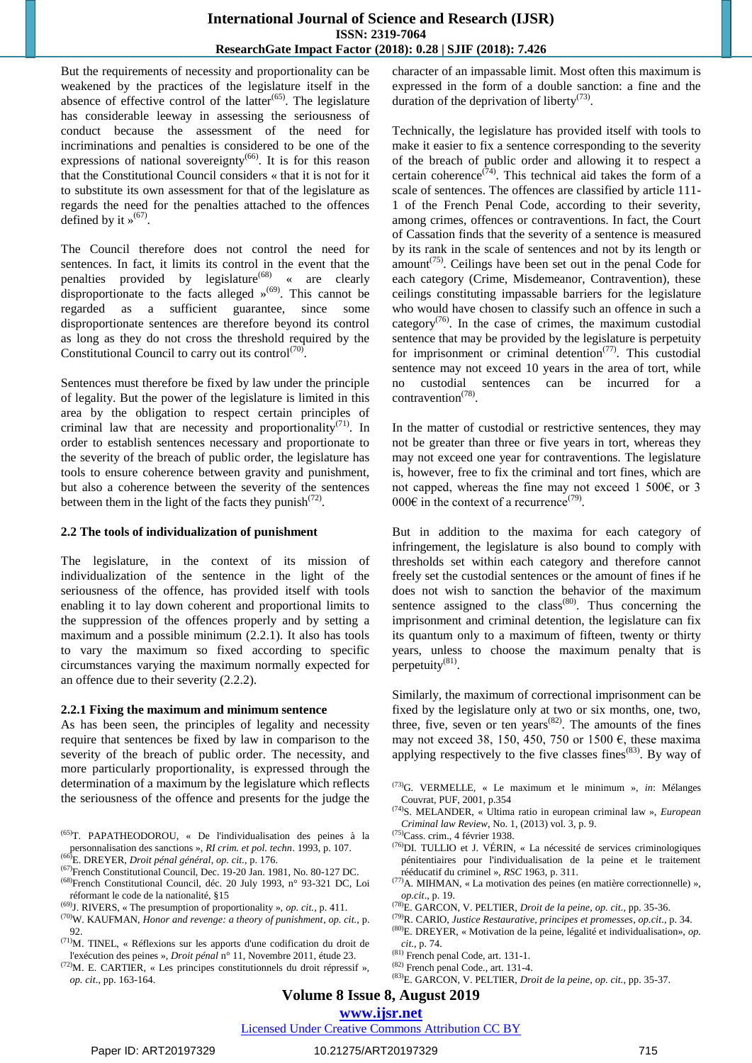But the requirements of necessity and proportionality can be weakened by the practices of the legislature itself in the absence of effective control of the latter<sup> $(65)$ </sup>. The legislature has considerable leeway in assessing the seriousness of conduct because the assessment of the need for incriminations and penalties is considered to be one of the expressions of national sovereignty<sup> $(66)$ </sup>. It is for this reason that the Constitutional Council considers « that it is not for it to substitute its own assessment for that of the legislature as regards the need for the penalties attached to the offences defined by it  $\frac{1}{2}$ <sup>(67)</sup>.

The Council therefore does not control the need for sentences. In fact, it limits its control in the event that the penalties provided by legislature<sup>(68)</sup> « are clearly disproportionate to the facts alleged  $\frac{1}{2}$ <sup>(69)</sup>. This cannot be regarded as a sufficient guarantee, since some disproportionate sentences are therefore beyond its control as long as they do not cross the threshold required by the Constitutional Council to carry out its control<sup> $(70)$ </sup>.

Sentences must therefore be fixed by law under the principle of legality. But the power of the legislature is limited in this area by the obligation to respect certain principles of criminal law that are necessity and proportionality<sup>(71)</sup>. In order to establish sentences necessary and proportionate to the severity of the breach of public order, the legislature has tools to ensure coherence between gravity and punishment, but also a coherence between the severity of the sentences between them in the light of the facts they punish $^{(72)}$ .

#### **2.2 The tools of individualization of punishment**

The legislature, in the context of its mission of individualization of the sentence in the light of the seriousness of the offence, has provided itself with tools enabling it to lay down coherent and proportional limits to the suppression of the offences properly and by setting a maximum and a possible minimum (2.2.1). It also has tools to vary the maximum so fixed according to specific circumstances varying the maximum normally expected for an offence due to their severity (2.2.2).

#### **2.2.1 Fixing the maximum and minimum sentence**

As has been seen, the principles of legality and necessity require that sentences be fixed by law in comparison to the severity of the breach of public order. The necessity, and more particularly proportionality, is expressed through the determination of a maximum by the legislature which reflects the seriousness of the offence and presents for the judge the

- (66)E. DREYER, *Droit pénal général*, *op. cit.,* p. 176.
- (67) French Constitutional Council, Dec. 19-20 Jan. 1981, No. 80-127 DC.
- (68) French Constitutional Council, déc. 20 July 1993, n° 93-321 DC, Loi réformant le code de la nationalité, §15
- (69) J. RIVERS, « The presumption of proportionality », *op. cit.,* p. 411.
- (70)W. KAUFMAN, *Honor and revenge: a theory of punishment*, *op. cit.,* p. 92.
- (71)M. TINEL, « Réflexions sur les apports d'une codification du droit de l'exécution des peines », *Droit pénal* n° 11, Novembre 2011, étude 23.
- (72)M. E. CARTIER, « Les principes constitutionnels du droit répressif », *op. cit*., pp. 163-164.

character of an impassable limit. Most often this maximum is expressed in the form of a double sanction: a fine and the duration of the deprivation of liberty<sup>(73)</sup>.

Technically, the legislature has provided itself with tools to make it easier to fix a sentence corresponding to the severity of the breach of public order and allowing it to respect a certain coherence<sup> $(74)$ </sup>. This technical aid takes the form of a scale of sentences. The offences are classified by article 111- 1 of the French Penal Code, according to their severity, among crimes, offences or contraventions. In fact, the Court of Cassation finds that the severity of a sentence is measured by its rank in the scale of sentences and not by its length or amount<sup> $(75)$ </sup>. Ceilings have been set out in the penal Code for each category (Crime, Misdemeanor, Contravention), these ceilings constituting impassable barriers for the legislature who would have chosen to classify such an offence in such a category<sup> $(76)$ </sup>. In the case of crimes, the maximum custodial sentence that may be provided by the legislature is perpetuity for imprisonment or criminal detention<sup> $(77)$ </sup>. This custodial sentence may not exceed 10 years in the area of tort, while no custodial sentences can be incurred for contravention<sup>(78)</sup>.

In the matter of custodial or restrictive sentences, they may not be greater than three or five years in tort, whereas they may not exceed one year for contraventions. The legislature is, however, free to fix the criminal and tort fines, which are not capped, whereas the fine may not exceed 1 500€, or 3 000 $\epsilon$  in the context of a recurrence<sup>(79)</sup>.

But in addition to the maxima for each category of infringement, the legislature is also bound to comply with thresholds set within each category and therefore cannot freely set the custodial sentences or the amount of fines if he does not wish to sanction the behavior of the maximum sentence assigned to the class<sup> $(80)$ </sup>. Thus concerning the imprisonment and criminal detention, the legislature can fix its quantum only to a maximum of fifteen, twenty or thirty years, unless to choose the maximum penalty that is perpetuity $^{(81)}$ .

Similarly, the maximum of correctional imprisonment can be fixed by the legislature only at two or six months, one, two, three, five, seven or ten years<sup> $(82)$ </sup>. The amounts of the fines may not exceed 38, 150, 450, 750 or 1500  $\epsilon$ , these maxima applying respectively to the five classes fines $(83)$ . By way of

- (73)G. VERMELLE, « Le maximum et le minimum », *in*: Mélanges Couvrat, PUF, 2001, p.354
- (74) S. MELANDER, « Ultima ratio in european criminal law », *European Criminal law Review*, No. 1, (2013) vol. 3, p. 9.
- (75)Cass. crim., 4 février 1938.
- (76)DI. TULLIO et J. VÉRIN, « La nécessité de services criminologiques pénitentiaires pour l'individualisation de la peine et le traitement rééducatif du criminel », *RSC* 1963, p. 311.
- $^{(77)}$ A. MIHMAN, « La motivation des peines (en matière correctionnelle) », *op.cit*., p. 19.
- (78)E. GARCON, V. PELTIER, *Droit de la peine*, *op. cit.*, pp. 35-36.
- (79)R. CARIO, *Justice Restaurative, principes et promesses*, *op.cit*., p. 34.
- (80)E. DREYER, « Motivation de la peine, légalité et individualisation», *op. cit.*, p. 74.
- (81) French penal Code, art. 131-1.
- (82) French penal Code., art. 131-4.
- (83)E. GARCON, V. PELTIER, *Droit de la peine*, *op. cit.*, pp. 35-37.

#### **Volume 8 Issue 8, August 2019**

**www.ijsr.net**

<sup>(65)</sup>T. PAPATHEODOROU, « De l'individualisation des peines à la personnalisation des sanctions », *RI crim. et pol. techn*. 1993, p. 107.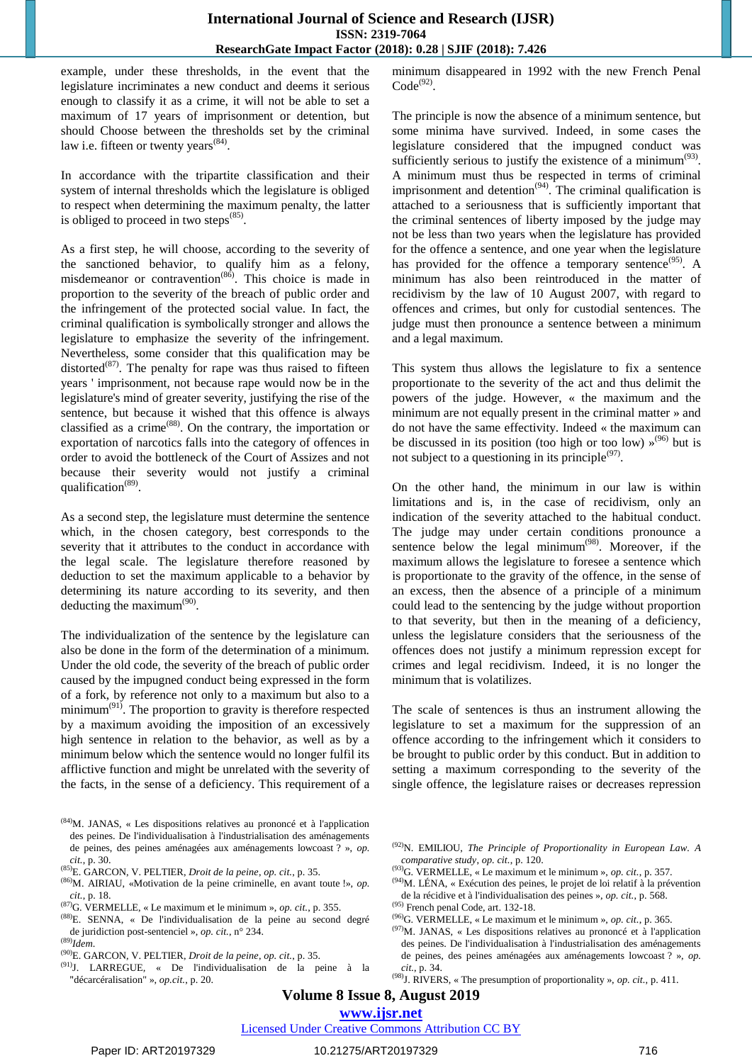example, under these thresholds, in the event that the legislature incriminates a new conduct and deems it serious enough to classify it as a crime, it will not be able to set a maximum of 17 years of imprisonment or detention, but should Choose between the thresholds set by the criminal law i.e. fifteen or twenty years<sup>(84)</sup>.

In accordance with the tripartite classification and their system of internal thresholds which the legislature is obliged to respect when determining the maximum penalty, the latter is obliged to proceed in two steps $^{(85)}$ .

As a first step, he will choose, according to the severity of the sanctioned behavior, to qualify him as a felony, misdemeanor or contravention<sup> $(8\bar{6})$ </sup>. This choice is made in proportion to the severity of the breach of public order and the infringement of the protected social value. In fact, the criminal qualification is symbolically stronger and allows the legislature to emphasize the severity of the infringement. Nevertheless, some consider that this qualification may be distorted $^{(87)}$ . The penalty for rape was thus raised to fifteen years ' imprisonment, not because rape would now be in the legislature's mind of greater severity, justifying the rise of the sentence, but because it wished that this offence is always classified as a crime<sup>(88)</sup>. On the contrary, the importation or exportation of narcotics falls into the category of offences in order to avoid the bottleneck of the Court of Assizes and not because their severity would not justify a criminal qualification<sup>(89)</sup>.

As a second step, the legislature must determine the sentence which, in the chosen category, best corresponds to the severity that it attributes to the conduct in accordance with the legal scale. The legislature therefore reasoned by deduction to set the maximum applicable to a behavior by determining its nature according to its severity, and then deducting the maximum $^{(90)}$ .

The individualization of the sentence by the legislature can also be done in the form of the determination of a minimum. Under the old code, the severity of the breach of public order caused by the impugned conduct being expressed in the form of a fork, by reference not only to a maximum but also to a minimum<sup> $(91)$ </sup>. The proportion to gravity is therefore respected by a maximum avoiding the imposition of an excessively high sentence in relation to the behavior, as well as by a minimum below which the sentence would no longer fulfil its afflictive function and might be unrelated with the severity of the facts, in the sense of a deficiency. This requirement of a

minimum disappeared in 1992 with the new French Penal  $Code<sup>(92)</sup>$ .

The principle is now the absence of a minimum sentence, but some minima have survived. Indeed, in some cases the legislature considered that the impugned conduct was sufficiently serious to justify the existence of a minimum<sup> $(93)$ </sup>. A minimum must thus be respected in terms of criminal imprisonment and detention<sup> $(94)$ </sup>. The criminal qualification is attached to a seriousness that is sufficiently important that the criminal sentences of liberty imposed by the judge may not be less than two years when the legislature has provided for the offence a sentence, and one year when the legislature has provided for the offence a temporary sentence<sup>(95)</sup>. A minimum has also been reintroduced in the matter of recidivism by the law of 10 August 2007, with regard to offences and crimes, but only for custodial sentences. The judge must then pronounce a sentence between a minimum and a legal maximum.

This system thus allows the legislature to fix a sentence proportionate to the severity of the act and thus delimit the powers of the judge. However, « the maximum and the minimum are not equally present in the criminal matter » and do not have the same effectivity. Indeed « the maximum can be discussed in its position (too high or too low)  $\mathcal{P}^{(96)}$  but is not subject to a questioning in its principle $(97)$ .

On the other hand, the minimum in our law is within limitations and is, in the case of recidivism, only an indication of the severity attached to the habitual conduct. The judge may under certain conditions pronounce a sentence below the legal minimum<sup> $(98)$ </sup>. Moreover, if the maximum allows the legislature to foresee a sentence which is proportionate to the gravity of the offence, in the sense of an excess, then the absence of a principle of a minimum could lead to the sentencing by the judge without proportion to that severity, but then in the meaning of a deficiency, unless the legislature considers that the seriousness of the offences does not justify a minimum repression except for crimes and legal recidivism. Indeed, it is no longer the minimum that is volatilizes.

The scale of sentences is thus an instrument allowing the legislature to set a maximum for the suppression of an offence according to the infringement which it considers to be brought to public order by this conduct. But in addition to setting a maximum corresponding to the severity of the single offence, the legislature raises or decreases repression

**Volume 8 Issue 8, August 2019**

*cit.*, p. 34.

<sup>(84)</sup>M. JANAS, « Les dispositions relatives au prononcé et à l'application des peines. De l'individualisation à l'industrialisation des aménagements de peines, des peines aménagées aux aménagements lowcoast ? », *op. cit.*, p. 30.

<sup>(85)</sup>E. GARCON, V. PELTIER, *Droit de la peine*, *op. cit.*, p. 35.

<sup>(86)</sup>M. AIRIAU, «Motivation de la peine criminelle, en avant toute !», *op. cit.*, p. 18.

<sup>(87)</sup>G. VERMELLE, « Le maximum et le minimum », *op. cit.*, p. 355.

<sup>(88)</sup>E. SENNA, « De l'individualisation de la peine au second degré de juridiction post-sentenciel », *op. cit.*, n° 234.

<sup>(89)</sup> *Idem*.

<sup>(90)</sup>E. GARCON, V. PELTIER, *Droit de la peine*, *op. cit.*, p. 35.

<sup>(91)</sup> J. LARREGUE*,* « De l'individualisation de la peine à la "décarcéralisation" », *op.cit.*, p. 20.

<sup>(92)</sup>N. EMILIOU, *The Principle of Proportionality in European Law. A comparative study*, *op. cit.*, p. 120.

<sup>(93)</sup>G. VERMELLE, « Le maximum et le minimum », *op. cit.*, p. 357.

<sup>(94)</sup>M. LÉNA, « Exécution des peines, le projet de loi relatif à la prévention de la récidive et à l'individualisation des peines », *op. cit.*, p. 568.

<sup>(95)</sup> French penal Code, art. 132-18.

<sup>(96)</sup>G. VERMELLE, « Le maximum et le minimum », *op. cit.*, p. 365. (97)M. JANAS, « Les dispositions relatives au prononcé et à l'application des peines. De l'individualisation à l'industrialisation des aménagements de peines, des peines aménagées aux aménagements lowcoast ? », *op.* 

<sup>(98)</sup> J. RIVERS, « The presumption of proportionality », *op. cit.,* p. 411.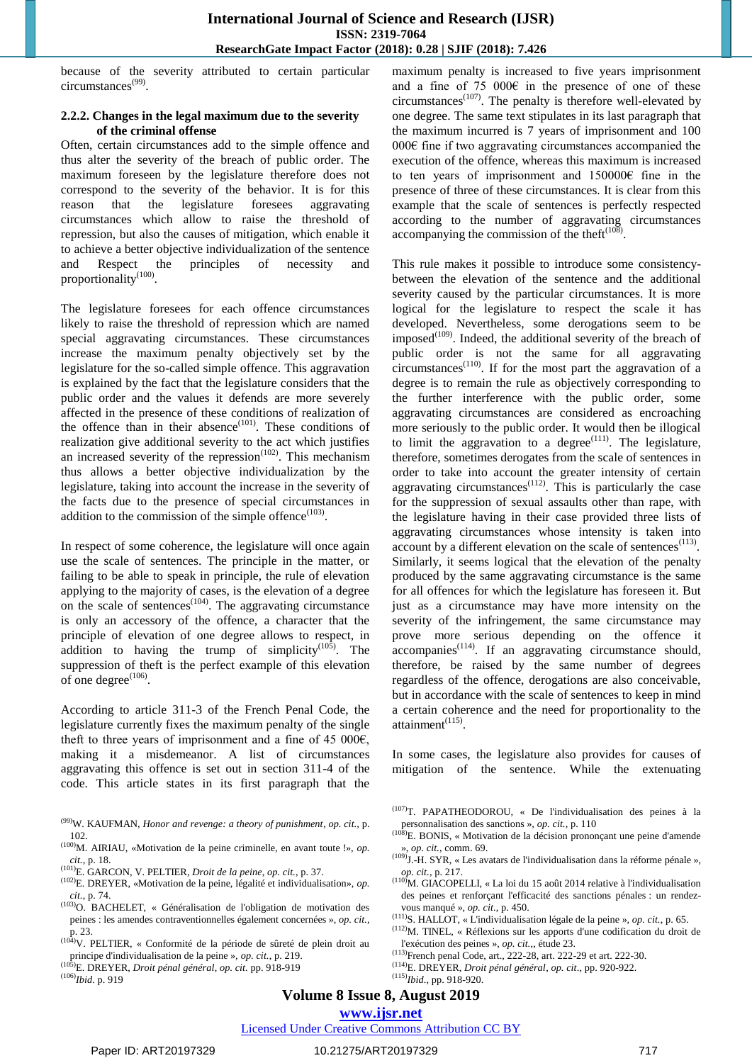because of the severity attributed to certain particular circumstances<sup>(99)</sup>.

#### **2.2.2. Changes in the legal maximum due to the severity of the criminal offense**

Often, certain circumstances add to the simple offence and thus alter the severity of the breach of public order. The maximum foreseen by the legislature therefore does not correspond to the severity of the behavior. It is for this reason that the legislature foresees aggravating circumstances which allow to raise the threshold of repression, but also the causes of mitigation, which enable it to achieve a better objective individualization of the sentence and Respect the principles of necessity and proportionality<sup>(100)</sup>.

The legislature foresees for each offence circumstances likely to raise the threshold of repression which are named special aggravating circumstances. These circumstances increase the maximum penalty objectively set by the legislature for the so-called simple offence. This aggravation is explained by the fact that the legislature considers that the public order and the values it defends are more severely affected in the presence of these conditions of realization of the offence than in their absence<sup>(101)</sup>. These conditions of realization give additional severity to the act which justifies an increased severity of the repression<sup> $(102)$ </sup>. This mechanism thus allows a better objective individualization by the legislature, taking into account the increase in the severity of the facts due to the presence of special circumstances in addition to the commission of the simple offence $^{(103)}$ .

In respect of some coherence, the legislature will once again use the scale of sentences. The principle in the matter, or failing to be able to speak in principle, the rule of elevation applying to the majority of cases, is the elevation of a degree on the scale of sentences $(104)$ . The aggravating circumstance is only an accessory of the offence, a character that the principle of elevation of one degree allows to respect, in addition to having the trump of simplicity<sup> $(10\bar{5})$ </sup>. The suppression of theft is the perfect example of this elevation of one degree $^{(106)}$ .

According to article 311-3 of the French Penal Code, the legislature currently fixes the maximum penalty of the single theft to three years of imprisonment and a fine of 45 000 $\epsilon$ , making it a misdemeanor. A list of circumstances aggravating this offence is set out in section 311-4 of the code. This article states in its first paragraph that the

- (101)E. GARCON, V. PELTIER, *Droit de la peine*, *op. cit.*, p. 37.
- (102)E. DREYER, «Motivation de la peine, légalité et individualisation», *op. cit.*, p. 74.
- (103)O. BACHELET, « Généralisation de l'obligation de motivation des peines : les amendes contraventionnelles également concernées », *op. cit.*, p. 23.
- $(10<sup>3</sup>)$ V. PELTIER, « Conformité de la période de sûreté de plein droit au principe d'individualisation de la peine », *op. cit.*, p. 219.

(105)E. DREYER, *Droit pénal général*, *op. cit.* pp. 918-919

maximum penalty is increased to five years imprisonment and a fine of 75 000 $\epsilon$  in the presence of one of these circumstances<sup> $(107)$ </sup>. The penalty is therefore well-elevated by one degree. The same text stipulates in its last paragraph that the maximum incurred is 7 years of imprisonment and 100 000€ fine if two aggravating circumstances accompanied the execution of the offence, whereas this maximum is increased to ten years of imprisonment and 150000€ fine in the presence of three of these circumstances. It is clear from this example that the scale of sentences is perfectly respected according to the number of aggravating circumstances accompanying the commission of the theft $(108)$ .

This rule makes it possible to introduce some consistencybetween the elevation of the sentence and the additional severity caused by the particular circumstances. It is more logical for the legislature to respect the scale it has developed. Nevertheless, some derogations seem to be imposed $(109)$ . Indeed, the additional severity of the breach of public order is not the same for all aggravating  $circ$ ircumstances<sup>(110)</sup>. If for the most part the aggravation of a degree is to remain the rule as objectively corresponding to the further interference with the public order, some aggravating circumstances are considered as encroaching more seriously to the public order. It would then be illogical to limit the aggravation to a degree<sup> $(111)$ </sup>. The legislature, therefore, sometimes derogates from the scale of sentences in order to take into account the greater intensity of certain aggravating circumstances $(112)$ . This is particularly the case for the suppression of sexual assaults other than rape, with the legislature having in their case provided three lists of aggravating circumstances whose intensity is taken into  $\alpha$  account by a different elevation on the scale of sentences<sup> $(113)$ </sup>. Similarly, it seems logical that the elevation of the penalty produced by the same aggravating circumstance is the same for all offences for which the legislature has foreseen it. But just as a circumstance may have more intensity on the severity of the infringement, the same circumstance may prove more serious depending on the offence it  $\alpha$ ccompanies<sup>(114)</sup>. If an aggravating circumstance should, therefore, be raised by the same number of degrees regardless of the offence, derogations are also conceivable, but in accordance with the scale of sentences to keep in mind a certain coherence and the need for proportionality to the attainment<sup>(115)</sup>.

In some cases, the legislature also provides for causes of mitigation of the sentence. While the extenuating

- (107)T. PAPATHEODOROU, « De l'individualisation des peines à la personnalisation des sanctions », *op. cit.*, p. 110
- $<sup>(108)</sup>E. BONIS, « Motivation de la decision prononçant une peine d'amende$ </sup> », *op. cit.*, comm. 69.
- (109) J.-H. SYR, « Les avatars de l'individualisation dans la réforme pénale », *op. cit.*, p. 217.
- $(110)$ M. GIACOPELLI, « La loi du 15 août 2014 relative à l'individualisation des peines et renforçant l'efficacité des sanctions pénales : un rendezvous manqué », *op. cit*., p. 450.
- (111) S. HALLOT, « L'individualisation légale de la peine », *op. cit.*, p. 65.
- (112)M. TINEL, « Réflexions sur les apports d'une codification du droit de l'exécution des peines », *op. cit.*,, étude 23.
- (113) French penal Code, art., 222-28, art. 222-29 et art. 222-30.
- (114)E. DREYER, *Droit pénal général*, *op. cit*., pp. 920-922.

# **www.ijsr.net**

<sup>(99)</sup>W. KAUFMAN, *Honor and revenge: a theory of punishment*, *op. cit.,* p. 102.

 $(100)$ M. AIRIAU, «Motivation de la peine criminelle, en avant toute !», *op*. *cit.*, p. 18.

<sup>(106)</sup> *Ibid*. p. 919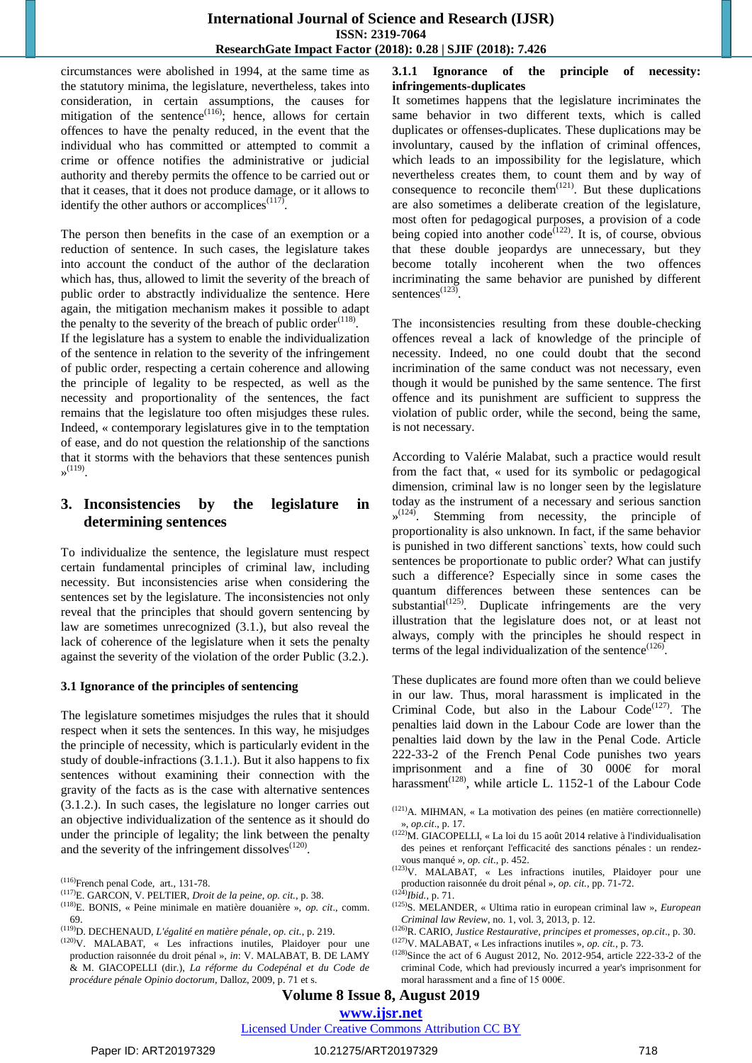circumstances were abolished in 1994, at the same time as the statutory minima, the legislature, nevertheless, takes into consideration, in certain assumptions, the causes for mitigation of the sentence<sup> $(116)$ </sup>; hence, allows for certain offences to have the penalty reduced, in the event that the individual who has committed or attempted to commit a crime or offence notifies the administrative or judicial authority and thereby permits the offence to be carried out or that it ceases, that it does not produce damage, or it allows to identify the other authors or accomplices $(117)$ .

The person then benefits in the case of an exemption or a reduction of sentence. In such cases, the legislature takes into account the conduct of the author of the declaration which has, thus, allowed to limit the severity of the breach of public order to abstractly individualize the sentence. Here again, the mitigation mechanism makes it possible to adapt the penalty to the severity of the breach of public order $(118)$ . If the legislature has a system to enable the individualization of the sentence in relation to the severity of the infringement of public order, respecting a certain coherence and allowing the principle of legality to be respected, as well as the necessity and proportionality of the sentences, the fact remains that the legislature too often misjudges these rules. Indeed, « contemporary legislatures give in to the temptation of ease, and do not question the relationship of the sanctions that it storms with the behaviors that these sentences punish  $b^{(119)}$ .

# **3. Inconsistencies by the legislature in determining sentences**

To individualize the sentence, the legislature must respect certain fundamental principles of criminal law, including necessity. But inconsistencies arise when considering the sentences set by the legislature. The inconsistencies not only reveal that the principles that should govern sentencing by law are sometimes unrecognized (3.1.), but also reveal the lack of coherence of the legislature when it sets the penalty against the severity of the violation of the order Public (3.2.).

#### **3.1 Ignorance of the principles of sentencing**

The legislature sometimes misjudges the rules that it should respect when it sets the sentences. In this way, he misjudges the principle of necessity, which is particularly evident in the study of double-infractions (3.1.1.). But it also happens to fix sentences without examining their connection with the gravity of the facts as is the case with alternative sentences (3.1.2.). In such cases, the legislature no longer carries out an objective individualization of the sentence as it should do under the principle of legality; the link between the penalty and the severity of the infringement dissolves $^{(120)}$ .

#### **3.1.1 Ignorance of the principle of necessity: infringements-duplicates**

It sometimes happens that the legislature incriminates the same behavior in two different texts, which is called duplicates or offenses-duplicates. These duplications may be involuntary, caused by the inflation of criminal offences, which leads to an impossibility for the legislature, which nevertheless creates them, to count them and by way of consequence to reconcile them $^{(121)}$ . But these duplications are also sometimes a deliberate creation of the legislature, most often for pedagogical purposes, a provision of a code being copied into another code<sup> $(122)$ </sup>. It is, of course, obvious that these double jeopardys are unnecessary, but they become totally incoherent when the two offences incriminating the same behavior are punished by different sentences $^{(123)}$ .

The inconsistencies resulting from these double-checking offences reveal a lack of knowledge of the principle of necessity. Indeed, no one could doubt that the second incrimination of the same conduct was not necessary, even though it would be punished by the same sentence. The first offence and its punishment are sufficient to suppress the violation of public order, while the second, being the same, is not necessary.

According to Valérie Malabat, such a practice would result from the fact that, « used for its symbolic or pedagogical dimension, criminal law is no longer seen by the legislature today as the instrument of a necessary and serious sanction  $\mathcal{P}^{(124)}$ . Stemming from necessity, the principle of proportionality is also unknown. In fact, if the same behavior is punished in two different sanctions` texts, how could such sentences be proportionate to public order? What can justify such a difference? Especially since in some cases the quantum differences between these sentences can be substantial $(125)$ . Duplicate infringements are the very illustration that the legislature does not, or at least not always, comply with the principles he should respect in terms of the legal individualization of the sentence $^{(126)}$ .

These duplicates are found more often than we could believe in our law. Thus, moral harassment is implicated in the Criminal Code, but also in the Labour  $Code^{(127)}$ . The penalties laid down in the Labour Code are lower than the penalties laid down by the law in the Penal Code. Article 222-33-2 of the French Penal Code punishes two years imprisonment and a fine of 30 000€ for moral harassment<sup>(128)</sup>, while article L. 1152-1 of the Labour Code

- (125) S. MELANDER, « Ultima ratio in european criminal law », *European Criminal law Review*, no. 1, vol. 3, 2013, p. 12.
- (126)R. CARIO, *Justice Restaurative, principes et promesses*, *op.cit*., p. 30.
- (127)V. MALABAT, « Les infractions inutiles », *op. cit.,* p. 73.
- (128) Since the act of 6 August 2012, No. 2012-954, article 222-33-2 of the criminal Code, which had previously incurred a year's imprisonment for moral harassment and a fine of 15 000€.

# **Volume 8 Issue 8, August 2019**

**www.ijsr.net**

<sup>(116)</sup> French penal Code, art., 131-78.

<sup>(117)</sup>E. GARCON, V. PELTIER, *Droit de la peine*, *op. cit.*, p. 38.

<sup>(118)</sup>E. BONIS, « Peine minimale en matière douanière », *op. cit*., comm. 69.

<sup>(119)</sup>D. DECHENAUD, *L'égalité en matière pénale*, *op. cit.*, p. 219.

<sup>(120)</sup>V. MALABAT, « Les infractions inutiles, Plaidoyer pour une production raisonnée du droit pénal », *in*: V. MALABAT, B. DE LAMY & M. GIACOPELLI (dir.), *La réforme du Codepénal et du Code de procédure pénale Opinio doctorum*, Dalloz, 2009, p. 71 et s.

<sup>(121)</sup>A. MIHMAN, « La motivation des peines (en matière correctionnelle) », *op.cit*., p. 17.

 $(122)$ M. GIACOPELLI, « La loi du 15 août 2014 relative à l'individualisation des peines et renforçant l'efficacité des sanctions pénales : un rendezvous manqué », *op. cit*., p. 452.

<sup>(123)</sup>V. MALABAT, « Les infractions inutiles, Plaidoyer pour une production raisonnée du droit pénal », *op. cit.,* pp. 71-72. (124) *Ibid.*, p. 71.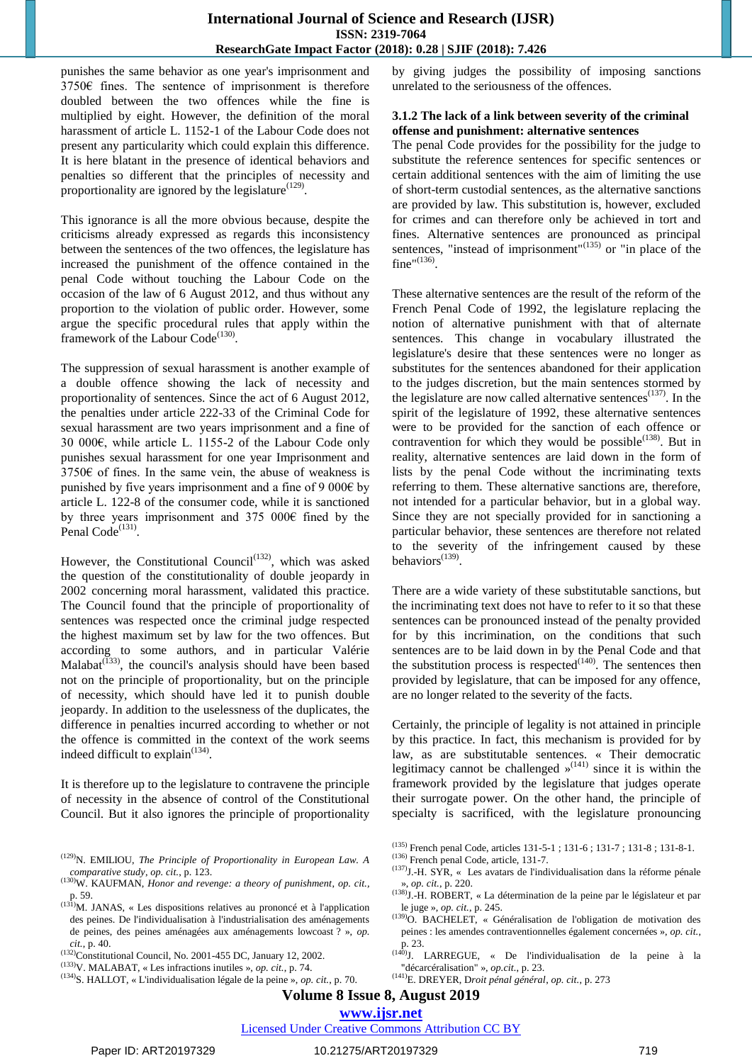punishes the same behavior as one year's imprisonment and 3750€ fines. The sentence of imprisonment is therefore doubled between the two offences while the fine is multiplied by eight. However, the definition of the moral harassment of article L. 1152-1 of the Labour Code does not present any particularity which could explain this difference. It is here blatant in the presence of identical behaviors and penalties so different that the principles of necessity and proportionality are ignored by the legislature<sup> $(129)$ </sup>.

This ignorance is all the more obvious because, despite the criticisms already expressed as regards this inconsistency between the sentences of the two offences, the legislature has increased the punishment of the offence contained in the penal Code without touching the Labour Code on the occasion of the law of 6 August 2012, and thus without any proportion to the violation of public order. However, some argue the specific procedural rules that apply within the framework of the Labour Code<sup>(130)</sup>.

The suppression of sexual harassment is another example of a double offence showing the lack of necessity and proportionality of sentences. Since the act of 6 August 2012, the penalties under article 222-33 of the Criminal Code for sexual harassment are two years imprisonment and a fine of 30 000€, while article L. 1155-2 of the Labour Code only punishes sexual harassment for one year Imprisonment and 3750€ of fines. In the same vein, the abuse of weakness is punished by five years imprisonment and a fine of 9 000€ by article L. 122-8 of the consumer code, while it is sanctioned by three years imprisonment and 375 000€ fined by the Penal Code<sup>(131)</sup>.

However, the Constitutional Council<sup>(132)</sup>, which was asked the question of the constitutionality of double jeopardy in 2002 concerning moral harassment, validated this practice. The Council found that the principle of proportionality of sentences was respected once the criminal judge respected the highest maximum set by law for the two offences. But according to some authors, and in particular Valérie Malabat $(133)$ , the council's analysis should have been based not on the principle of proportionality, but on the principle of necessity, which should have led it to punish double jeopardy. In addition to the uselessness of the duplicates, the difference in penalties incurred according to whether or not the offence is committed in the context of the work seems indeed difficult to  $explain^{(134)}$ .

It is therefore up to the legislature to contravene the principle of necessity in the absence of control of the Constitutional Council. But it also ignores the principle of proportionality by giving judges the possibility of imposing sanctions unrelated to the seriousness of the offences.

#### **3.1.2 The lack of a link between severity of the criminal offense and punishment: alternative sentences**

The penal Code provides for the possibility for the judge to substitute the reference sentences for specific sentences or certain additional sentences with the aim of limiting the use of short-term custodial sentences, as the alternative sanctions are provided by law. This substitution is, however, excluded for crimes and can therefore only be achieved in tort and fines. Alternative sentences are pronounced as principal sentences, "instead of imprisonment"<sup>(135)</sup> or "in place of the fine" $(136)$ .

These alternative sentences are the result of the reform of the French Penal Code of 1992, the legislature replacing the notion of alternative punishment with that of alternate sentences. This change in vocabulary illustrated the legislature's desire that these sentences were no longer as substitutes for the sentences abandoned for their application to the judges discretion, but the main sentences stormed by the legislature are now called alternative sentences<sup> $(137)$ </sup>. In the spirit of the legislature of 1992, these alternative sentences were to be provided for the sanction of each offence or contravention for which they would be possible<sup> $(138)$ </sup>. But in reality, alternative sentences are laid down in the form of lists by the penal Code without the incriminating texts referring to them. These alternative sanctions are, therefore, not intended for a particular behavior, but in a global way. Since they are not specially provided for in sanctioning a particular behavior, these sentences are therefore not related to the severity of the infringement caused by these behaviors<sup>(139)</sup>.

There are a wide variety of these substitutable sanctions, but the incriminating text does not have to refer to it so that these sentences can be pronounced instead of the penalty provided for by this incrimination, on the conditions that such sentences are to be laid down in by the Penal Code and that the substitution process is respected $(140)$ . The sentences then provided by legislature, that can be imposed for any offence, are no longer related to the severity of the facts.

Certainly, the principle of legality is not attained in principle by this practice. In fact, this mechanism is provided for by law, as are substitutable sentences. « Their democratic legitimacy cannot be challenged  $\frac{1}{4}$  since it is within the framework provided by the legislature that judges operate their surrogate power. On the other hand, the principle of specialty is sacrificed, with the legislature pronouncing

# **Volume 8 Issue 8, August 2019**

<sup>(129)</sup>N. EMILIOU, *The Principle of Proportionality in European Law. A comparative study*, *op. cit.*, p. 123.

<sup>(130)</sup>W. KAUFMAN, *Honor and revenge: a theory of punishment*, *op. cit.,* p. 59.

 $(131)$ M. JANAS, « Les dispositions relatives au prononcé et à l'application des peines. De l'individualisation à l'industrialisation des aménagements de peines, des peines aménagées aux aménagements lowcoast ? », *op. cit.*, p. 40.

<sup>(132)</sup>Constitutional Council, No. 2001-455 DC, January 12, 2002.

 $(133)$ V. MALABAT, « Les infractions inutiles », *op. cit.*, p. 74.

<sup>(134)</sup> S. HALLOT, « L'individualisation légale de la peine », *op. cit.*, p. 70.

<sup>(135)</sup> French penal Code, articles 131-5-1 ; 131-6 ; 131-7 ; 131-8 ; 131-8-1.

<sup>(136)</sup> French penal Code, article, 131-7.

<sup>(137)</sup> J.-H. SYR, « Les avatars de l'individualisation dans la réforme pénale », *op. cit.*, p. 220.

<sup>(138)</sup> J.-H. ROBERT, « La détermination de la peine par le législateur et par le juge », *op. cit.*, p. 245.

<sup>(139)</sup>O. BACHELET, « Généralisation de l'obligation de motivation des peines : les amendes contraventionnelles également concernées », *op. cit.*, p. 23. (140) J. LARREGUE*,* « De l'individualisation de la peine à la

<sup>&</sup>quot;décarcéralisation" », *op.cit.*, p. 23.

<sup>(141)</sup>E. DREYER, D*roit pénal général*, *op. cit.*, p. 273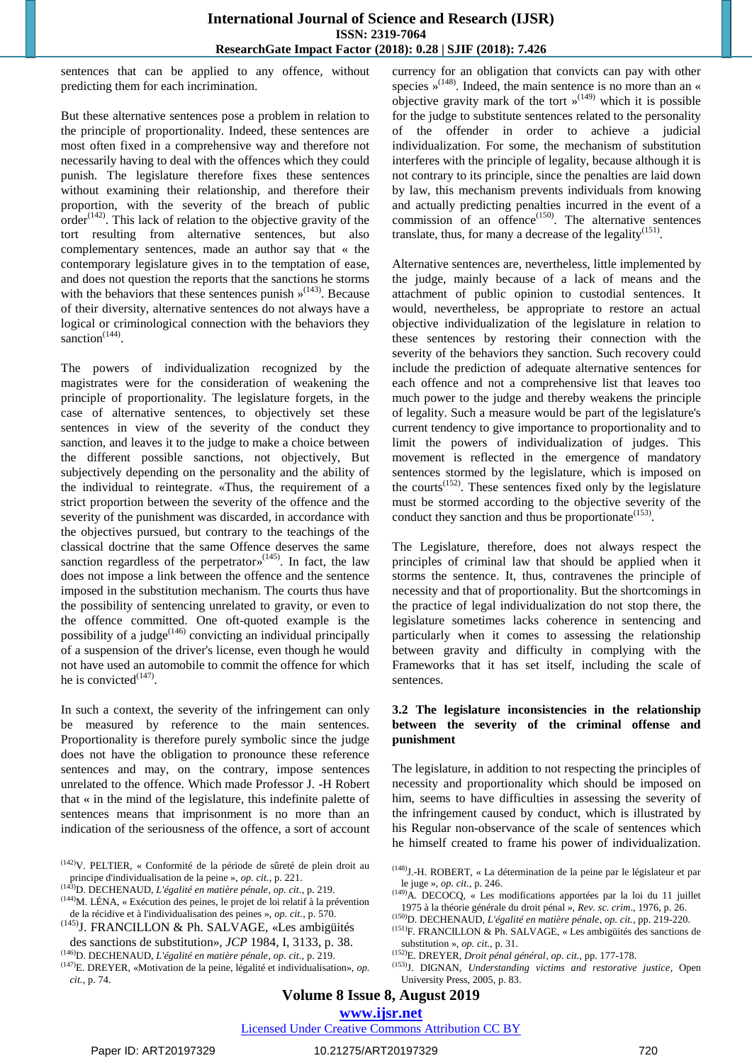sentences that can be applied to any offence, without predicting them for each incrimination.

But these alternative sentences pose a problem in relation to the principle of proportionality. Indeed, these sentences are most often fixed in a comprehensive way and therefore not necessarily having to deal with the offences which they could punish. The legislature therefore fixes these sentences without examining their relationship, and therefore their proportion, with the severity of the breach of public order $(142)$ . This lack of relation to the objective gravity of the tort resulting from alternative sentences, but also complementary sentences, made an author say that « the contemporary legislature gives in to the temptation of ease, and does not question the reports that the sanctions he storms with the behaviors that these sentences punish  $\mathcal{P}^{(143)}$ . Because of their diversity, alternative sentences do not always have a logical or criminological connection with the behaviors they sanction $(144)$ .

The powers of individualization recognized by the magistrates were for the consideration of weakening the principle of proportionality. The legislature forgets, in the case of alternative sentences, to objectively set these sentences in view of the severity of the conduct they sanction, and leaves it to the judge to make a choice between the different possible sanctions, not objectively, But subjectively depending on the personality and the ability of the individual to reintegrate. «Thus, the requirement of a strict proportion between the severity of the offence and the severity of the punishment was discarded, in accordance with the objectives pursued, but contrary to the teachings of the classical doctrine that the same Offence deserves the same sanction regardless of the perpetrator $\mathcal{P}^{(145)}$ . In fact, the law does not impose a link between the offence and the sentence imposed in the substitution mechanism. The courts thus have the possibility of sentencing unrelated to gravity, or even to the offence committed. One oft-quoted example is the possibility of a judge<sup>(146)</sup> convicting an individual principally of a suspension of the driver's license, even though he would not have used an automobile to commit the offence for which he is convicted $(147)$ .

In such a context, the severity of the infringement can only be measured by reference to the main sentences. Proportionality is therefore purely symbolic since the judge does not have the obligation to pronounce these reference sentences and may, on the contrary, impose sentences unrelated to the offence. Which made Professor J. -H Robert that « in the mind of the legislature, this indefinite palette of sentences means that imprisonment is no more than an indication of the seriousness of the offence, a sort of account

(144)M. LÉNA, « Exécution des peines, le projet de loi relatif à la prévention de la récidive et à l'individualisation des peines », *op. cit.*, p. 570.

currency for an obligation that convicts can pay with other species  $\frac{1}{48}$ . Indeed, the main sentence is no more than an « objective gravity mark of the tort  $\mathcal{P}^{(149)}$  which it is possible for the judge to substitute sentences related to the personality of the offender in order to achieve a judicial individualization. For some, the mechanism of substitution interferes with the principle of legality, because although it is not contrary to its principle, since the penalties are laid down by law, this mechanism prevents individuals from knowing and actually predicting penalties incurred in the event of a commission of an offence<sup> $(150)$ </sup>. The alternative sentences translate, thus, for many a decrease of the legality<sup>(151)</sup>.

Alternative sentences are, nevertheless, little implemented by the judge, mainly because of a lack of means and the attachment of public opinion to custodial sentences. It would, nevertheless, be appropriate to restore an actual objective individualization of the legislature in relation to these sentences by restoring their connection with the severity of the behaviors they sanction. Such recovery could include the prediction of adequate alternative sentences for each offence and not a comprehensive list that leaves too much power to the judge and thereby weakens the principle of legality. Such a measure would be part of the legislature's current tendency to give importance to proportionality and to limit the powers of individualization of judges. This movement is reflected in the emergence of mandatory sentences stormed by the legislature, which is imposed on the courts<sup> $(152)$ </sup>. These sentences fixed only by the legislature must be stormed according to the objective severity of the conduct they sanction and thus be proportionate  $(153)$ .

The Legislature, therefore, does not always respect the principles of criminal law that should be applied when it storms the sentence. It, thus, contravenes the principle of necessity and that of proportionality. But the shortcomings in the practice of legal individualization do not stop there, the legislature sometimes lacks coherence in sentencing and particularly when it comes to assessing the relationship between gravity and difficulty in complying with the Frameworks that it has set itself, including the scale of sentences.

### **3.2 The legislature inconsistencies in the relationship between the severity of the criminal offense and punishment**

The legislature, in addition to not respecting the principles of necessity and proportionality which should be imposed on him, seems to have difficulties in assessing the severity of the infringement caused by conduct, which is illustrated by his Regular non-observance of the scale of sentences which he himself created to frame his power of individualization.

# **Volume 8 Issue 8, August 2019**

<sup>(142)</sup>V. PELTIER, « Conformité de la période de sûreté de plein droit au principe d'individualisation de la peine », *op. cit.*, p. 221.

<sup>(143)</sup>D. DECHENAUD, *L'égalité en matière pénale*, *op. cit.*, p. 219.

<sup>(145)</sup> J. FRANCILLON & Ph. SALVAGE, «Les ambigüités des sanctions de substitution», *JCP* 1984, I, 3133, p. 38.

<sup>(146)</sup>D. DECHENAUD, *L'égalité en matière pénale*, *op. cit.,* p. 219.

<sup>(147)</sup>E. DREYER, «Motivation de la peine, légalité et individualisation», *op.* 

*cit.*, p. 74.

<sup>(148)</sup> J.-H. ROBERT, « La détermination de la peine par le législateur et par le juge », *op. cit.*, p. 246.

<sup>(149)</sup>A. DECOCQ, « Les modifications apportées par la loi du 11 juillet 1975 à la théorie générale du droit pénal », *Rev. sc. crim*., 1976, p. 26.

<sup>(150)</sup>D. DECHENAUD, *L'égalité en matière pénale*, *op. cit.*, pp. 219-220.

<sup>(151)</sup> F. FRANCILLON & Ph. SALVAGE, « Les ambigüités des sanctions de substitution », *op. cit.,* p. 31.

<sup>(152)</sup>E. DREYER, *Droit pénal général*, *op. cit.,* pp. 177-178.

<sup>(153)</sup> J. DIGNAN, *Understanding victims and restorative justice*, Open University Press, 2005, p. 83.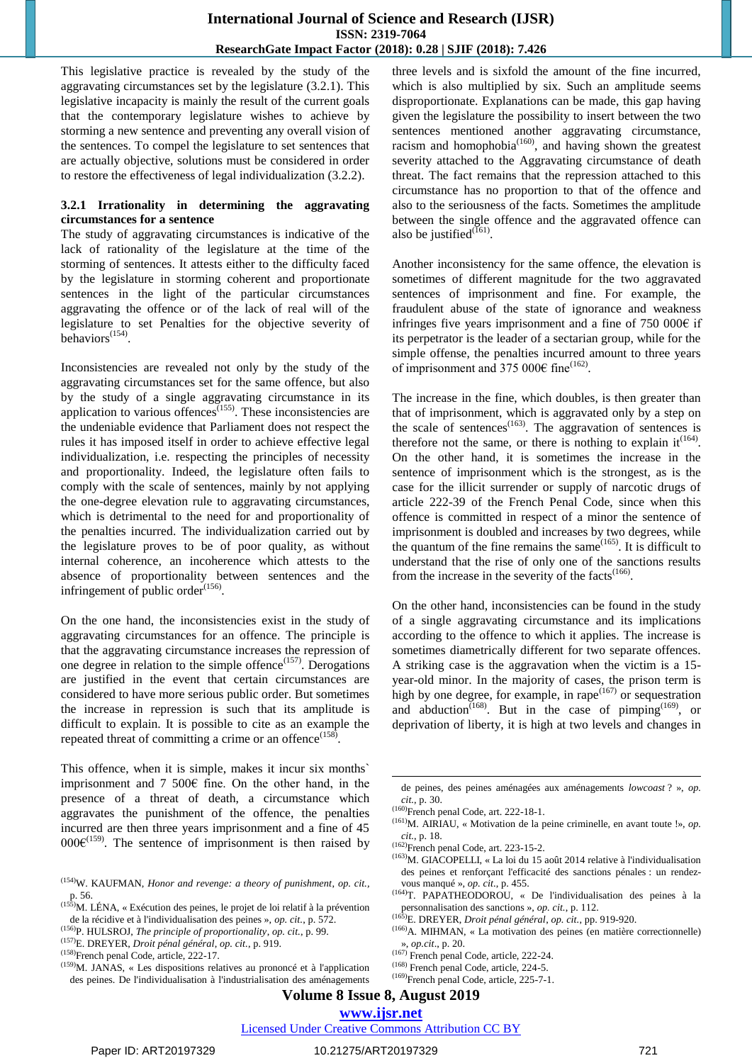This legislative practice is revealed by the study of the aggravating circumstances set by the legislature (3.2.1). This legislative incapacity is mainly the result of the current goals that the contemporary legislature wishes to achieve by storming a new sentence and preventing any overall vision of the sentences. To compel the legislature to set sentences that are actually objective, solutions must be considered in order to restore the effectiveness of legal individualization (3.2.2).

### **3.2.1 Irrationality in determining the aggravating circumstances for a sentence**

The study of aggravating circumstances is indicative of the lack of rationality of the legislature at the time of the storming of sentences. It attests either to the difficulty faced by the legislature in storming coherent and proportionate sentences in the light of the particular circumstances aggravating the offence or of the lack of real will of the legislature to set Penalties for the objective severity of behaviors<sup>(154)</sup>.

Inconsistencies are revealed not only by the study of the aggravating circumstances set for the same offence, but also by the study of a single aggravating circumstance in its application to various offences<sup> $(155)$ </sup>. These inconsistencies are the undeniable evidence that Parliament does not respect the rules it has imposed itself in order to achieve effective legal individualization, i.e. respecting the principles of necessity and proportionality. Indeed, the legislature often fails to comply with the scale of sentences, mainly by not applying the one-degree elevation rule to aggravating circumstances, which is detrimental to the need for and proportionality of the penalties incurred. The individualization carried out by the legislature proves to be of poor quality, as without internal coherence, an incoherence which attests to the absence of proportionality between sentences and the infringement of public order $^{(156)}$ .

On the one hand, the inconsistencies exist in the study of aggravating circumstances for an offence. The principle is that the aggravating circumstance increases the repression of one degree in relation to the simple offence<sup> $(157)$ </sup>. Derogations are justified in the event that certain circumstances are considered to have more serious public order. But sometimes the increase in repression is such that its amplitude is difficult to explain. It is possible to cite as an example the repeated threat of committing a crime or an offence<sup> $(158)$ </sup>.

This offence, when it is simple, makes it incur six months` imprisonment and 7 500€ fine. On the other hand, in the presence of a threat of death, a circumstance which aggravates the punishment of the offence, the penalties incurred are then three years imprisonment and a fine of 45  $000 \epsilon^{(159)}$ . The sentence of imprisonment is then raised by

(157)E. DREYER, *Droit pénal général*, *op. cit.*, p. 919.

three levels and is sixfold the amount of the fine incurred, which is also multiplied by six. Such an amplitude seems disproportionate. Explanations can be made, this gap having given the legislature the possibility to insert between the two sentences mentioned another aggravating circumstance, racism and homophobia $(160)$ , and having shown the greatest severity attached to the Aggravating circumstance of death threat. The fact remains that the repression attached to this circumstance has no proportion to that of the offence and also to the seriousness of the facts. Sometimes the amplitude between the single offence and the aggravated offence can also be justified $^{(161)}$ .

Another inconsistency for the same offence, the elevation is sometimes of different magnitude for the two aggravated sentences of imprisonment and fine. For example, the fraudulent abuse of the state of ignorance and weakness infringes five years imprisonment and a fine of 750 000€ if its perpetrator is the leader of a sectarian group, while for the simple offense, the penalties incurred amount to three years of imprisonment and 375 000€ fine<sup>(162)</sup>.

The increase in the fine, which doubles, is then greater than that of imprisonment, which is aggravated only by a step on the scale of sentences<sup> $(163)$ </sup>. The aggravation of sentences is therefore not the same, or there is nothing to explain it<sup>(164)</sup>. On the other hand, it is sometimes the increase in the sentence of imprisonment which is the strongest, as is the case for the illicit surrender or supply of narcotic drugs of article 222-39 of the French Penal Code, since when this offence is committed in respect of a minor the sentence of imprisonment is doubled and increases by two degrees, while the quantum of the fine remains the same  $(165)$ . It is difficult to understand that the rise of only one of the sanctions results from the increase in the severity of the facts<sup> $(166)$ </sup>.

On the other hand, inconsistencies can be found in the study of a single aggravating circumstance and its implications according to the offence to which it applies. The increase is sometimes diametrically different for two separate offences. A striking case is the aggravation when the victim is a 15 year-old minor. In the majority of cases, the prison term is high by one degree, for example, in rape $(167)$  or sequestration and abduction<sup> $(168)$ </sup>. But in the case of pimping<sup>(169)</sup>, or deprivation of liberty, it is high at two levels and changes in

de peines, des peines aménagées aux aménagements *lowcoast* ? », *op. cit.*, p. 30.

(168) French penal Code, article, 224-5.

### **Volume 8 Issue 8, August 2019**

 $\overline{a}$ 

<sup>(154)</sup>W. KAUFMAN, *Honor and revenge: a theory of punishment*, *op. cit.,* p. 56.

 $<sup>(155)</sup>M$ . LÉNA, « Exécution des peines, le projet de loi relatif à la prévention</sup> de la récidive et à l'individualisation des peines », *op. cit.*, p. 572.

<sup>(156)</sup> P. HULSROJ, *The principle of proportionality*, *op. cit.*, p. 99.

<sup>(158)</sup> French penal Code, article, 222-17.

 $(159)$ M. JANAS, « Les dispositions relatives au prononcé et à l'application des peines. De l'individualisation à l'industrialisation des aménagements

<sup>(160)</sup> French penal Code, art. 222-18-1.

<sup>(161)</sup>M. AIRIAU, « Motivation de la peine criminelle, en avant toute !», *op. cit.*, p. 18.

<sup>(162)</sup> French penal Code, art. 223-15-2.

<sup>(163)</sup>M. GIACOPELLI, « La loi du 15 août 2014 relative à l'individualisation des peines et renforçant l'efficacité des sanctions pénales : un rendezvous manqué », *op. cit*., p. 455.

<sup>(164)</sup>T. PAPATHEODOROU, « De l'individualisation des peines à la personnalisation des sanctions », *op. cit.*, p. 112.

<sup>(165)</sup>E. DREYER, *Droit pénal général*, *op. cit.*, pp. 919-920.

<sup>(166)</sup>A. MIHMAN, « La motivation des peines (en matière correctionnelle)

<sup>»,</sup> *op.cit*., p. 20. (167) French penal Code, article, 222-24.

<sup>(169)</sup> French penal Code, article, 225-7-1.

**www.ijsr.net**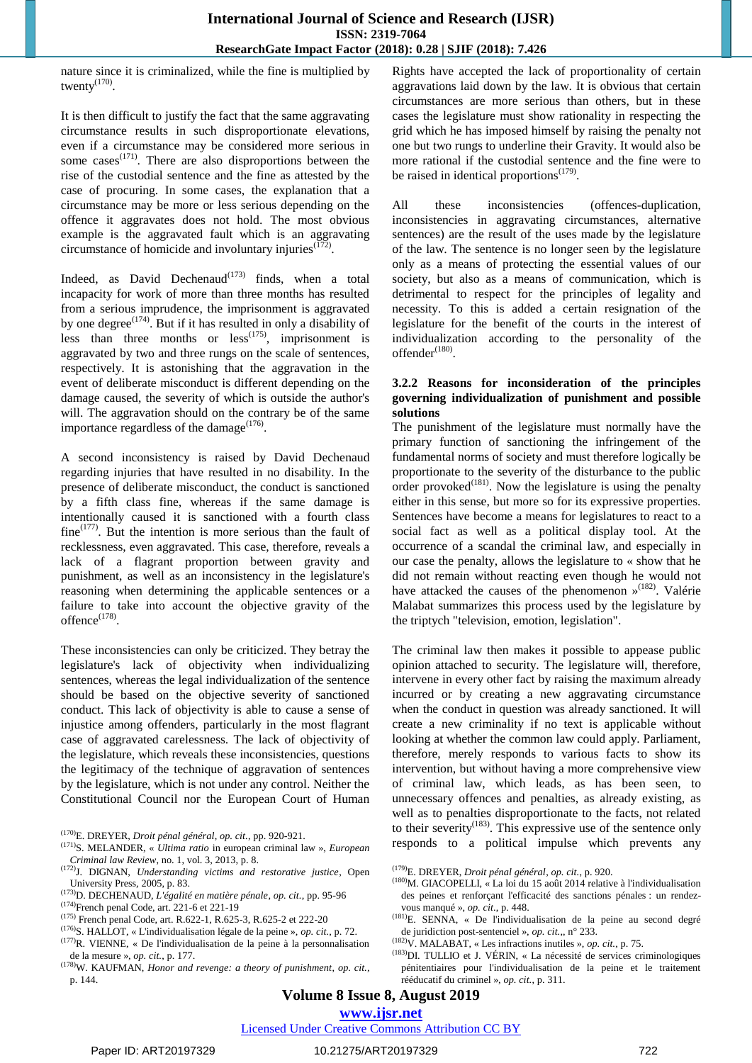nature since it is criminalized, while the fine is multiplied by twenty $^{(170)}$ .

It is then difficult to justify the fact that the same aggravating circumstance results in such disproportionate elevations, even if a circumstance may be considered more serious in some cases $^{(171)}$ . There are also disproportions between the rise of the custodial sentence and the fine as attested by the case of procuring. In some cases, the explanation that a circumstance may be more or less serious depending on the offence it aggravates does not hold. The most obvious example is the aggravated fault which is an aggravating circumstance of homicide and involuntary injuries  $(172)$ .

Indeed, as David Dechenaud<sup> $(173)$ </sup> finds, when a total incapacity for work of more than three months has resulted from a serious imprudence, the imprisonment is aggravated by one degree $^{(174)}$ . But if it has resulted in only a disability of less than three months or  $\text{less}^{(175)}$ , imprisonment is aggravated by two and three rungs on the scale of sentences, respectively. It is astonishing that the aggravation in the event of deliberate misconduct is different depending on the damage caused, the severity of which is outside the author's will. The aggravation should on the contrary be of the same importance regardless of the damage $^{(176)}$ .

A second inconsistency is raised by David Dechenaud regarding injuries that have resulted in no disability. In the presence of deliberate misconduct, the conduct is sanctioned by a fifth class fine, whereas if the same damage is intentionally caused it is sanctioned with a fourth class  $fine^{(177)}$ . But the intention is more serious than the fault of recklessness, even aggravated. This case, therefore, reveals a lack of a flagrant proportion between gravity and punishment, as well as an inconsistency in the legislature's reasoning when determining the applicable sentences or a failure to take into account the objective gravity of the offence $^{(178)}$ .

These inconsistencies can only be criticized. They betray the legislature's lack of objectivity when individualizing sentences, whereas the legal individualization of the sentence should be based on the objective severity of sanctioned conduct. This lack of objectivity is able to cause a sense of injustice among offenders, particularly in the most flagrant case of aggravated carelessness. The lack of objectivity of the legislature, which reveals these inconsistencies, questions the legitimacy of the technique of aggravation of sentences by the legislature, which is not under any control. Neither the Constitutional Council nor the European Court of Human

(170)E. DREYER, *Droit pénal général*, *op. cit.*, pp. 920-921.

- (171) S. MELANDER, « *Ultima ratio* in european criminal law », *European Criminal law Review*, no. 1, vol. 3, 2013, p. 8.
- (172) J. DIGNAN, *Understanding victims and restorative justice*, Open University Press*,* 2005, p. 83.

(173)D. DECHENAUD, *L'égalité en matière pénale*, *op. cit.*, pp. 95-96

(175) French penal Code, art. R.622-1, R.625-3, R.625-2 et 222-20

(177)R. VIENNE, « De l'individualisation de la peine à la personnalisation

de la mesure », *op. cit.*, p. 177. (178)W. KAUFMAN, *Honor and revenge: a theory of punishment*, *op. cit.,* p. 144.

Rights have accepted the lack of proportionality of certain aggravations laid down by the law. It is obvious that certain circumstances are more serious than others, but in these cases the legislature must show rationality in respecting the grid which he has imposed himself by raising the penalty not one but two rungs to underline their Gravity. It would also be more rational if the custodial sentence and the fine were to be raised in identical proportions $(179)$ .

All these inconsistencies (offences-duplication, inconsistencies in aggravating circumstances, alternative sentences) are the result of the uses made by the legislature of the law. The sentence is no longer seen by the legislature only as a means of protecting the essential values of our society, but also as a means of communication, which is detrimental to respect for the principles of legality and necessity. To this is added a certain resignation of the legislature for the benefit of the courts in the interest of individualization according to the personality of the  $offender<sup>(180)</sup>$ .

### **3.2.2 Reasons for inconsideration of the principles governing individualization of punishment and possible solutions**

The punishment of the legislature must normally have the primary function of sanctioning the infringement of the fundamental norms of society and must therefore logically be proportionate to the severity of the disturbance to the public order provoked $^{(181)}$ . Now the legislature is using the penalty either in this sense, but more so for its expressive properties. Sentences have become a means for legislatures to react to a social fact as well as a political display tool. At the occurrence of a scandal the criminal law, and especially in our case the penalty, allows the legislature to « show that he did not remain without reacting even though he would not have attacked the causes of the phenomenon  $\frac{182}{182}$ . Valérie Malabat summarizes this process used by the legislature by the triptych "television, emotion, legislation".

The criminal law then makes it possible to appease public opinion attached to security. The legislature will, therefore, intervene in every other fact by raising the maximum already incurred or by creating a new aggravating circumstance when the conduct in question was already sanctioned. It will create a new criminality if no text is applicable without looking at whether the common law could apply. Parliament, therefore, merely responds to various facts to show its intervention, but without having a more comprehensive view of criminal law, which leads, as has been seen, to unnecessary offences and penalties, as already existing, as well as to penalties disproportionate to the facts, not related to their severity<sup>(183)</sup>. This expressive use of the sentence only responds to a political impulse which prevents any

- (180)M. GIACOPELLI, « La loi du 15 août 2014 relative à l'individualisation des peines et renforçant l'efficacité des sanctions pénales : un rendezvous manqué », *op. cit*., p. 448.
- (181)E. SENNA, « De l'individualisation de la peine au second degré de juridiction post-sentenciel », *op. cit.*,, n° 233.
- (182)V. MALABAT, « Les infractions inutiles », *op. cit.*, p. 75.
- (183)DI. TULLIO et J. VÉRIN, « La nécessité de services criminologiques pénitentiaires pour l'individualisation de la peine et le traitement rééducatif du criminel », *op. cit.*, p. 311.

**Volume 8 Issue 8, August 2019**

**www.ijsr.net**

<sup>(174)</sup> French penal Code, art. 221-6 et 221-19

<sup>(176)</sup> S. HALLOT, « L'individualisation légale de la peine », *op. cit.*, p. 72.

<sup>(179)</sup>E. DREYER, *Droit pénal général*, *op. cit.*, p. 920.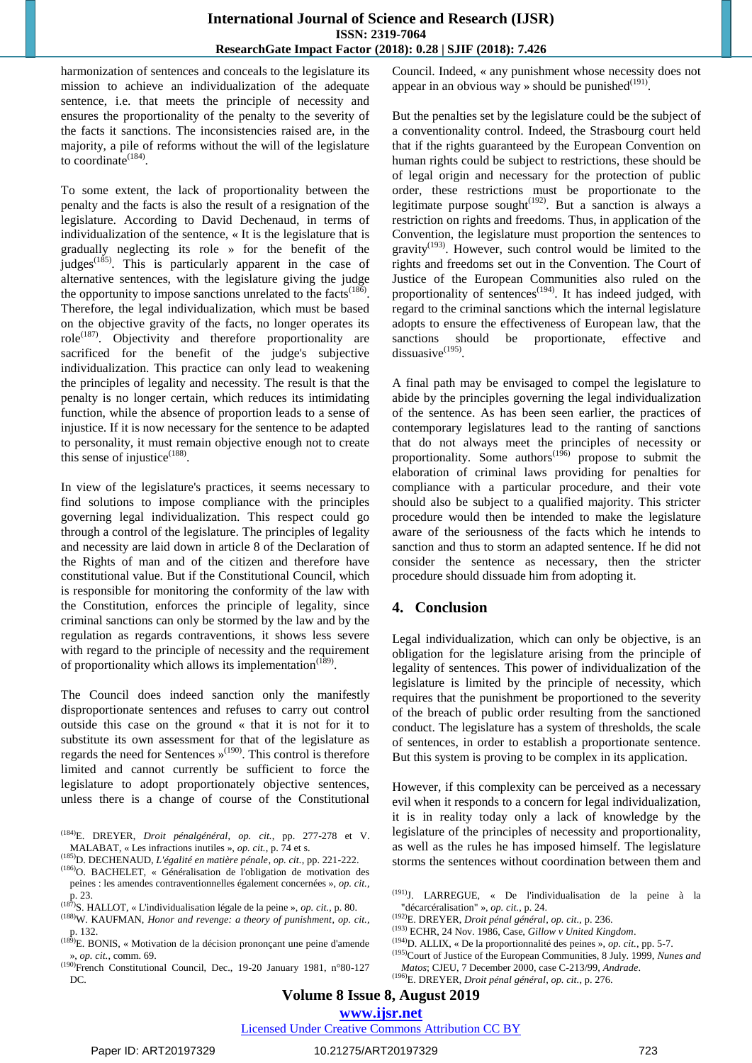harmonization of sentences and conceals to the legislature its mission to achieve an individualization of the adequate sentence, i.e. that meets the principle of necessity and ensures the proportionality of the penalty to the severity of the facts it sanctions. The inconsistencies raised are, in the majority, a pile of reforms without the will of the legislature to coordinate $^{(184)}$ .

To some extent, the lack of proportionality between the penalty and the facts is also the result of a resignation of the legislature. According to David Dechenaud, in terms of individualization of the sentence, « It is the legislature that is gradually neglecting its role » for the benefit of the judges<sup> $(185)$ </sup>. This is particularly apparent in the case of alternative sentences, with the legislature giving the judge the opportunity to impose sanctions unrelated to the facts<sup> $(186)$ </sup>. Therefore, the legal individualization, which must be based on the objective gravity of the facts, no longer operates its role<sup> $(187)$ </sup>. Objectivity and therefore proportionality are sacrificed for the benefit of the judge's subjective individualization. This practice can only lead to weakening the principles of legality and necessity. The result is that the penalty is no longer certain, which reduces its intimidating function, while the absence of proportion leads to a sense of injustice. If it is now necessary for the sentence to be adapted to personality, it must remain objective enough not to create this sense of injustice $^{(188)}$ .

In view of the legislature's practices, it seems necessary to find solutions to impose compliance with the principles governing legal individualization. This respect could go through a control of the legislature. The principles of legality and necessity are laid down in article 8 of the Declaration of the Rights of man and of the citizen and therefore have constitutional value. But if the Constitutional Council, which is responsible for monitoring the conformity of the law with the Constitution, enforces the principle of legality, since criminal sanctions can only be stormed by the law and by the regulation as regards contraventions, it shows less severe with regard to the principle of necessity and the requirement of proportionality which allows its implementation<sup> $(189)$ </sup>.

The Council does indeed sanction only the manifestly disproportionate sentences and refuses to carry out control outside this case on the ground « that it is not for it to substitute its own assessment for that of the legislature as regards the need for Sentences »<sup>(190)</sup>. This control is therefore limited and cannot currently be sufficient to force the legislature to adopt proportionately objective sentences, unless there is a change of course of the Constitutional

Council. Indeed, « any punishment whose necessity does not appear in an obvious way » should be punished $(191)$ .

But the penalties set by the legislature could be the subject of a conventionality control. Indeed, the Strasbourg court held that if the rights guaranteed by the European Convention on human rights could be subject to restrictions, these should be of legal origin and necessary for the protection of public order, these restrictions must be proportionate to the legitimate purpose sought<sup> $(192)$ </sup>. But a sanction is always a restriction on rights and freedoms. Thus, in application of the Convention, the legislature must proportion the sentences to gravity<sup>(193)</sup>. However, such control would be limited to the rights and freedoms set out in the Convention. The Court of Justice of the European Communities also ruled on the proportionality of sentences<sup>(194)</sup>. It has indeed judged, with regard to the criminal sanctions which the internal legislature adopts to ensure the effectiveness of European law, that the sanctions should be proportionate, effective and  $dissuasive$ <sup>(195)</sup>.

A final path may be envisaged to compel the legislature to abide by the principles governing the legal individualization of the sentence. As has been seen earlier, the practices of contemporary legislatures lead to the ranting of sanctions that do not always meet the principles of necessity or proportionality. Some authors<sup> $(1\bar{96})$ </sup> propose to submit the elaboration of criminal laws providing for penalties for compliance with a particular procedure, and their vote should also be subject to a qualified majority. This stricter procedure would then be intended to make the legislature aware of the seriousness of the facts which he intends to sanction and thus to storm an adapted sentence. If he did not consider the sentence as necessary, then the stricter procedure should dissuade him from adopting it.

# **4. Conclusion**

Legal individualization, which can only be objective, is an obligation for the legislature arising from the principle of legality of sentences. This power of individualization of the legislature is limited by the principle of necessity, which requires that the punishment be proportioned to the severity of the breach of public order resulting from the sanctioned conduct. The legislature has a system of thresholds, the scale of sentences, in order to establish a proportionate sentence. But this system is proving to be complex in its application.

However, if this complexity can be perceived as a necessary evil when it responds to a concern for legal individualization, it is in reality today only a lack of knowledge by the legislature of the principles of necessity and proportionality, as well as the rules he has imposed himself. The legislature storms the sentences without coordination between them and

**Volume 8 Issue 8, August 2019**

<sup>(184)</sup>E. DREYER, *Droit pénalgénéral*, *op. cit.*, pp. 277-278 et V. MALABAT, « Les infractions inutiles », *op. cit.*, p. 74 et s.

<sup>(185)</sup>D. DECHENAUD, *L'égalité en matière pénale*, *op. cit.*, pp. 221-222.

<sup>(186)</sup>O. BACHELET, « Généralisation de l'obligation de motivation des peines : les amendes contraventionnelles également concernées », *op. cit.*,

p. 23. (187) S. HALLOT, « L'individualisation légale de la peine », *op. cit.*, p. 80.

<sup>(188)</sup>W. KAUFMAN, *Honor and revenge: a theory of punishment*, *op. cit.,* p. 132.

 $(189)$ E. BONIS, « Motivation de la décision prononçant une peine d'amende », *op. cit.*, comm. 69.

<sup>(190)</sup> French Constitutional Council, Dec., 19-20 January 1981, n°80-127  $DC$ 

<sup>(191)</sup> J. LARREGUE*,* « De l'individualisation de la peine à la "décarcéralisation" », *op. cit.*, p. 24.

<sup>(192)</sup>E. DREYER, *Droit pénal général*, *op. cit.,* p. 236.

<sup>(193)</sup> ECHR, 24 Nov. 1986, Case, *Gillow v United Kingdom*.

<sup>(194)</sup>D. ALLIX, « De la proportionnalité des peines », *op. cit.*, pp. 5-7.

<sup>(195)</sup>Court of Justice of the European Communities, 8 July. 1999, *Nunes and Matos*; CJEU, 7 December 2000, case C-213/99, *Andrade*.

<sup>(196)</sup>E. DREYER, *Droit pénal général*, *op. cit.*, p. 276.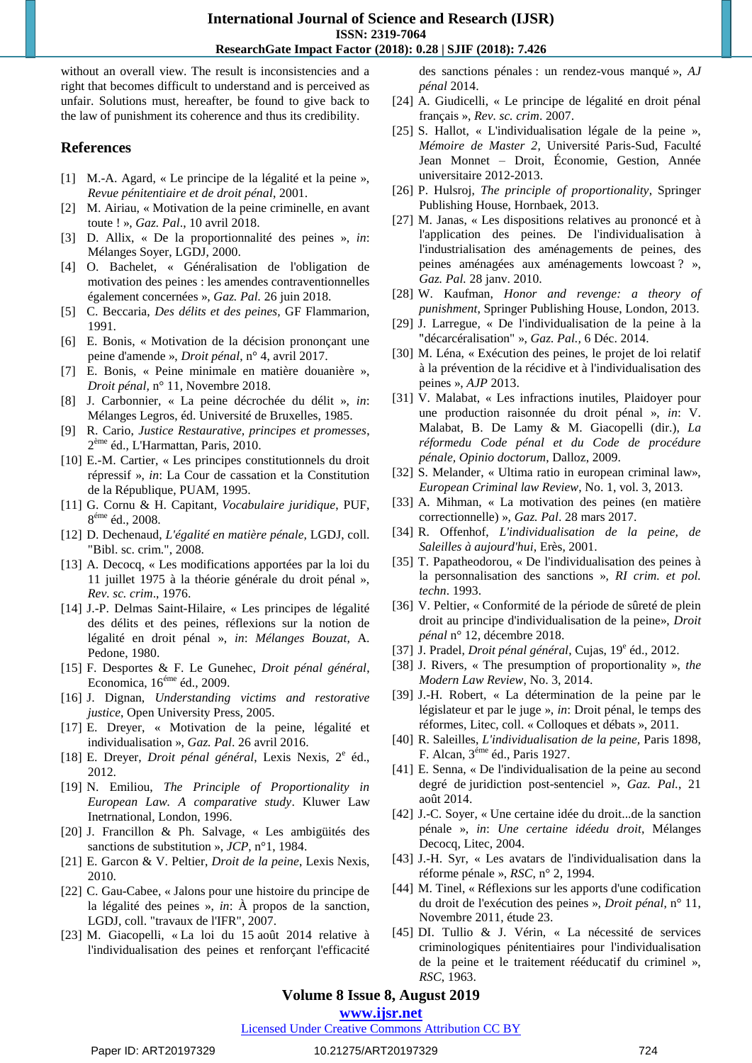without an overall view. The result is inconsistencies and a right that becomes difficult to understand and is perceived as unfair. Solutions must, hereafter, be found to give back to the law of punishment its coherence and thus its credibility.

# **References**

- [1] M.-A. Agard, « Le principe de la légalité et la peine », *Revue pénitentiaire et de droit pénal*, 2001.
- [2] M. Airiau, « Motivation de la peine criminelle, en avant toute ! », *Gaz. Pal*., 10 avril 2018.
- [3] D. Allix, « De la proportionnalité des peines », *in*: Mélanges Soyer, LGDJ, 2000.
- [4] O. Bachelet, « Généralisation de l'obligation de motivation des peines : les amendes contraventionnelles également concernées », *Gaz. Pal.* 26 juin 2018.
- [5] C. Beccaria, *Des délits et des peines,* GF Flammarion, 1991.
- [6] E. Bonis, « Motivation de la décision prononçant une peine d'amende », *Droit pénal*, n° 4, avril 2017.
- [7] E. Bonis, « Peine minimale en matière douanière », *Droit pénal,* n° 11, Novembre 2018.
- [8] J. Carbonnier, « La peine décrochée du délit », *in*: Mélanges Legros, éd. Université de Bruxelles, 1985.
- [9] R. Cario, *Justice Restaurative, principes et promesses*, 2<sup>ème</sup> éd., L'Harmattan, Paris, 2010.
- [10] E.-M. Cartier, « Les principes constitutionnels du droit répressif », *in*: La Cour de cassation et la Constitution de la République, PUAM, 1995.
- [11] G. Cornu & H. Capitant, *Vocabulaire juridique*, PUF, 8 éme éd., 2008.
- [12] D. Dechenaud, *L'égalité en matière pénale,* LGDJ, coll. "Bibl. sc. crim.", 2008.
- [13] A. Decocq, « Les modifications apportées par la loi du 11 juillet 1975 à la théorie générale du droit pénal », *Rev. sc. crim*., 1976.
- [14] J.-P. Delmas Saint-Hilaire, « Les principes de légalité des délits et des peines, réflexions sur la notion de légalité en droit pénal », *in*: *Mélanges Bouzat*, A. Pedone, 1980.
- [15] F. Desportes & F. Le Gunehec, *Droit pénal général*, Economica, 16éme éd., 2009.
- [16] J. Dignan, *Understanding victims and restorative justice*, Open University Press, 2005.
- [17] E. Dreyer, « Motivation de la peine, légalité et individualisation », *Gaz. Pal*. 26 avril 2016.
- [18] E. Dreyer, *Droit pénal général*, Lexis Nexis, 2<sup>e</sup> éd., 2012.
- [19] N. Emiliou, *The Principle of Proportionality in European Law. A comparative study*. Kluwer Law Inetrnational, London, 1996.
- [20] J. Francillon & Ph. Salvage, « Les ambigüités des sanctions de substitution », *JCP,* n°1, 1984.
- [21] E. Garcon & V. Peltier, *Droit de la peine*, Lexis Nexis, 2010.
- [22] C. Gau-Cabee, « Jalons pour une histoire du principe de la légalité des peines », *in*: À propos de la sanction, LGDJ, coll. "travaux de l'IFR", 2007.
- [23] M. Giacopelli, « La loi du 15 août 2014 relative à l'individualisation des peines et renforçant l'efficacité

des sanctions pénales : un rendez-vous manqué », *AJ pénal* 2014.

- [24] A. Giudicelli, « Le principe de légalité en droit pénal français », *Rev. sc. crim*. 2007.
- [25] S. Hallot, « L'individualisation légale de la peine », *Mémoire de Master 2*, Université Paris-Sud, Faculté Jean Monnet – Droit, Économie, Gestion, Année universitaire 2012-2013.
- [26] P. Hulsroj, *The principle of proportionality*, Springer Publishing House, Hornbaek, 2013.
- [27] M. Janas, « Les dispositions relatives au prononcé et à l'application des peines. De l'individualisation à l'industrialisation des aménagements de peines, des peines aménagées aux aménagements lowcoast ? », *Gaz. Pal.* 28 janv. 2010.
- [28] W. Kaufman, *Honor and revenge: a theory of punishment*, Springer Publishing House, London, 2013.
- [29] J. Larregue*,* « De l'individualisation de la peine à la "décarcéralisation" », *Gaz. Pal.,* 6 Déc. 2014.
- [30] M. Léna, « Exécution des peines, le projet de loi relatif à la prévention de la récidive et à l'individualisation des peines », *AJP* 2013.
- [31] V. Malabat, « Les infractions inutiles, Plaidoyer pour une production raisonnée du droit pénal », *in*: V. Malabat, B. De Lamy & M. Giacopelli (dir.), *La réformedu Code pénal et du Code de procédure pénale, Opinio doctorum*, Dalloz, 2009.
- [32] S. Melander, « Ultima ratio in european criminal law», *European Criminal law Review*, No. 1, vol. 3, 2013.
- [33] A. Mihman, « La motivation des peines (en matière correctionnelle) », *Gaz. Pal*. 28 mars 2017.
- [34] R. Offenhof, *L'individualisation de la peine, de Saleilles à aujourd'hui*, Erès, 2001.
- [35] T. Papatheodorou, « De l'individualisation des peines à la personnalisation des sanctions », *RI crim. et pol. techn*. 1993.
- [36] V. Peltier, « Conformité de la période de sûreté de plein droit au principe d'individualisation de la peine», *Droit pénal* n° 12, décembre 2018.
- [37] J. Pradel, *Droit pénal général*, Cujas, 19<sup>e</sup> éd., 2012.
- [38] J. Rivers, « The presumption of proportionality », *the Modern Law Review*, No. 3, 2014.
- [39] J.-H. Robert, « La détermination de la peine par le législateur et par le juge », *in*: Droit pénal, le temps des réformes, Litec, coll. « Colloques et débats », 2011.
- [40] R. Saleilles, *L'individualisation de la peine,* Paris 1898, F. Alcan, 3éme éd., Paris 1927.
- [41] E. Senna, « De l'individualisation de la peine au second degré de juridiction post-sentenciel », *Gaz. Pal.*, 21 août 2014.
- [42] J.-C. Soyer, « Une certaine idée du droit...de la sanction pénale », *in*: *Une certaine idéedu droit*, Mélanges Decocq, Litec, 2004.
- [43] J.-H. Syr, « Les avatars de l'individualisation dans la réforme pénale », *RSC*, n° 2, 1994.
- [44] M. Tinel, « Réflexions sur les apports d'une codification du droit de l'exécution des peines », *Droit pénal*, n° 11, Novembre 2011, étude 23.
- [45] DI. Tullio & J. Vérin, « La nécessité de services criminologiques pénitentiaires pour l'individualisation de la peine et le traitement rééducatif du criminel », *RSC*, 1963.

# **Volume 8 Issue 8, August 2019**

# **www.ijsr.net**